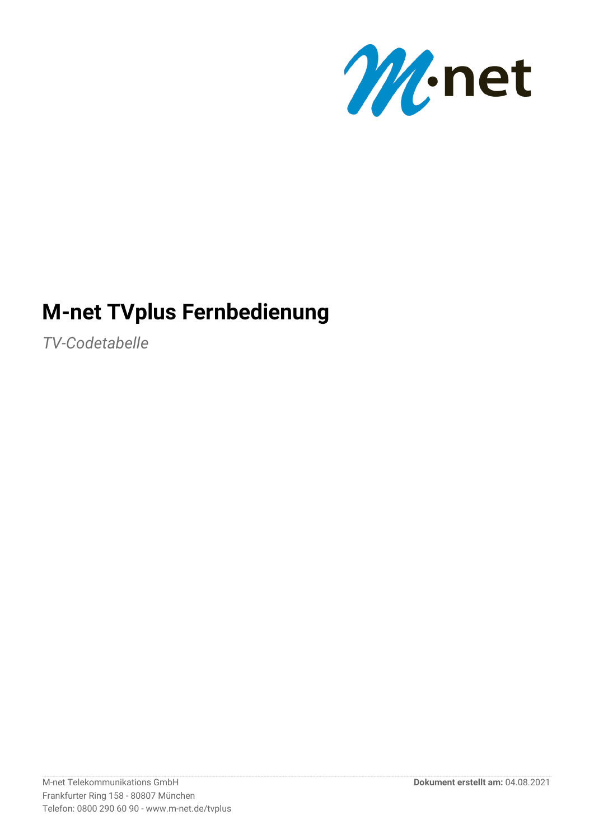

# **M-net TVplus Fernbedienung**

*TV-Codetabelle*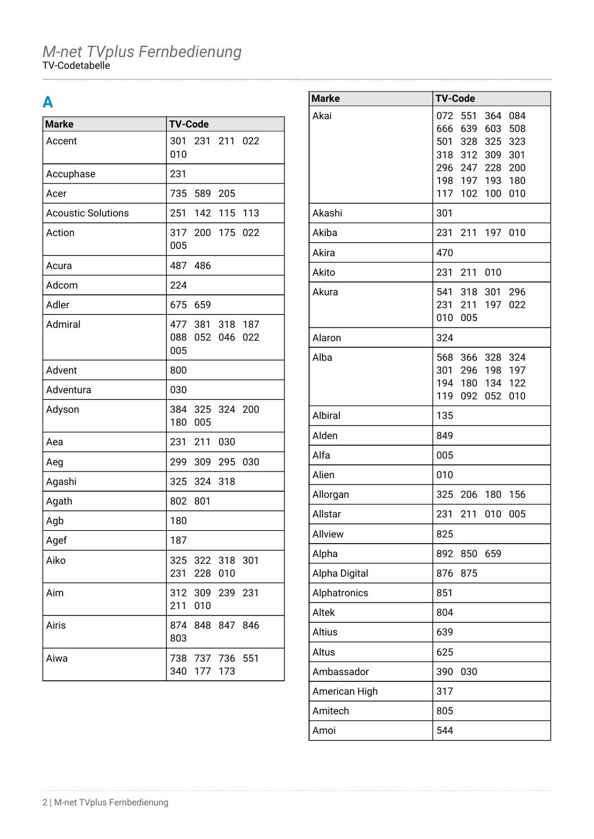### **A**

| <b>Marke</b>              | <b>TV-Code</b>                                     |
|---------------------------|----------------------------------------------------|
| Accent                    | 301<br>231 211 022<br>010                          |
| Accuphase                 | 231                                                |
| Acer                      | 735 589 205                                        |
| <b>Acoustic Solutions</b> | 251<br>142 115 113                                 |
| Action                    | 317 200 175<br>022<br>005                          |
| Acura                     | 487 486                                            |
| Adcom                     | 224                                                |
| Adler                     | 675<br>659                                         |
| Admiral                   | 477 381 318 187<br>088<br>052<br>046<br>022<br>005 |
| Advent                    | 800                                                |
| Adventura                 | 030                                                |
| Adyson                    | 384<br>325 324 200<br>180<br>005                   |
| Aea                       | 231 211<br>030                                     |
| Aeg                       | 299<br>309 295<br>030                              |
| Agashi                    | 325 324 318                                        |
| Agath                     | 802<br>801                                         |
| Agb                       | 180                                                |
| Agef                      | 187                                                |
| Aiko                      | 325 322 318 301<br>231<br>228<br>010               |
| Aim                       | 312 309 239 231<br>211<br>010                      |
| Airis                     | 874<br>848 847 846<br>803                          |
| Aiwa                      | 738 737 736 551<br>340 177 173                     |

| <b>Marke</b>  | <b>TV-Code</b>                                 |
|---------------|------------------------------------------------|
| Akai          | 551<br>364<br>084<br>072                       |
|               | 639<br>603<br>508<br>666                       |
|               | 501 328 325<br>323                             |
|               | 318 312 309<br>301                             |
|               | 296 247<br>228<br>200<br>198 197<br>193<br>180 |
|               | 117<br>100<br>010<br>102                       |
| Akashi        | 301                                            |
| Akiba         | 231<br>211<br>197 010                          |
| Akira         | 470                                            |
| Akito         | 231<br>211<br>010                              |
| Akura         | 541 318 301 296                                |
|               | 197<br>231<br>211<br>022                       |
|               | 010<br>005                                     |
| Alaron        | 324                                            |
| Alba          | 568<br>366 328<br>324                          |
|               | 301<br>296 198 197                             |
|               | 194<br>134<br>122<br>180                       |
|               | 119<br>052<br>010<br>092                       |
| Albiral       | 135                                            |
| Alden         | 849                                            |
| Alfa          | 005                                            |
| Alien         | 010                                            |
| Allorgan      | 325<br>206<br>180<br>156                       |
| Allstar       | 231<br>211<br>010<br>005                       |
| Allview       | 825                                            |
| Alpha         | 892<br>850<br>659                              |
| Alpha Digital | 876<br>875                                     |
| Alphatronics  | 851                                            |
| Altek         | 804                                            |
| Altius        | 639                                            |
| Altus         | 625                                            |
| Ambassador    | 390<br>030                                     |
| American High | 317                                            |
| Amitech       | 805                                            |
| Amoi          | 544                                            |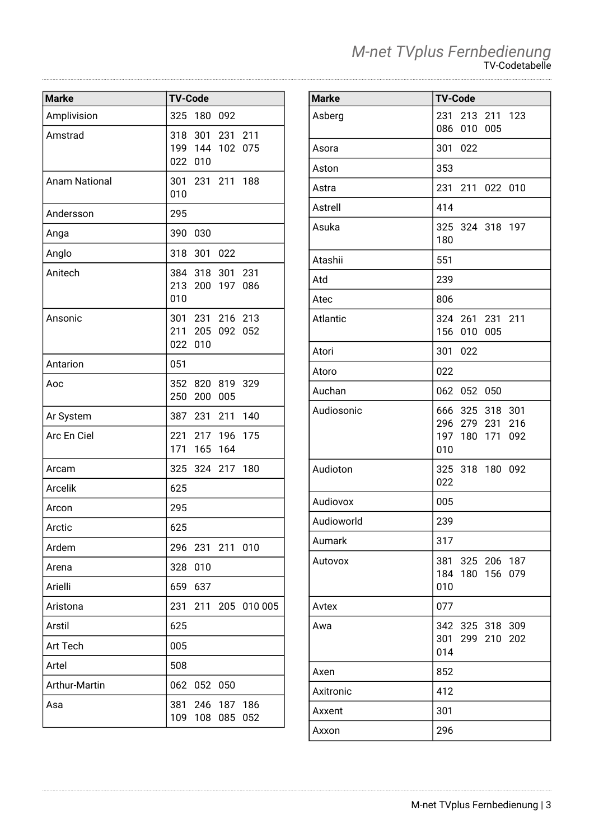|  | M-net TVplus Fernbedienung |
|--|----------------------------|
|  | TV-Codetabelle             |

| <b>Marke</b>         | <b>TV-Code</b> |             |                                |             |
|----------------------|----------------|-------------|--------------------------------|-------------|
| Amplivision          | 325            | 180 092     |                                |             |
| Amstrad              |                | 022 010     | 318 301 231 211<br>199 144 102 | 075         |
| <b>Anam National</b> | 010            |             | 301 231 211 188                |             |
| Andersson            | 295            |             |                                |             |
| Anga                 | 390            | 030         |                                |             |
| Anglo                |                | 318 301 022 |                                |             |
| Anitech              | 010            |             | 384 318 301 231<br>213 200 197 | 086         |
| Ansonic              | 022            | 010         | 301 231 216 213<br>211 205 092 | 052         |
| Antarion             | 051            |             |                                |             |
| Aoc                  | 250            | 200         | 352 820 819 329<br>005         |             |
| Ar System            |                |             | 387 231 211 140                |             |
| Arc En Ciel          |                | 171 165 164 | 221 217 196                    | 175         |
| Arcam                |                |             | 325 324 217 180                |             |
| <b>Arcelik</b>       | 625            |             |                                |             |
| Arcon                | 295            |             |                                |             |
| Arctic               | 625            |             |                                |             |
| Ardem                |                |             | 296 231 211                    | 010         |
| Arena                | 328            | 010         |                                |             |
| Arielli              | 659            | 637         |                                |             |
| Aristona             | 231            | 211         |                                | 205 010 005 |
| Arstil               | 625            |             |                                |             |
| Art Tech             | 005            |             |                                |             |
| Artel                | 508            |             |                                |             |
| Arthur-Martin        | 062            | 052 050     |                                |             |
| Asa                  | 381<br>109     | 108         | 246 187 186<br>085             | 052         |

| <b>Marke</b> | <b>TV-Code</b>                                                  |
|--------------|-----------------------------------------------------------------|
| Asberg       | 231 213 211 123<br>086<br>010 005                               |
| Asora        | 301 022                                                         |
| Aston        | 353                                                             |
| Astra        | 231 211 022 010                                                 |
| Astrell      | 414                                                             |
| Asuka        | 325 324 318 197<br>180                                          |
| Atashii      | 551                                                             |
| Atd          | 239                                                             |
| Atec         | 806                                                             |
| Atlantic     | 324 261 231 211<br>156 010 005                                  |
| Atori        | 301 022                                                         |
| Atoro        | 022                                                             |
| Auchan       | 062 052 050                                                     |
| Audiosonic   | 666 325 318 301<br>296 279 231 216<br>197 180 171<br>092<br>010 |
| Audioton     | 325 318 180 092<br>022                                          |
| Audiovox     | 005                                                             |
| Audioworld   | 239                                                             |
| Aumark       | 317                                                             |
| Autovox      | 381<br>325 206 187<br>184<br>180 156<br>079<br>010              |
| Avtex        | 077                                                             |
| Awa          | 342 325 318<br>309<br>301 299 210<br>202<br>014                 |
| Axen         | 852                                                             |
| Axitronic    | 412                                                             |
| Axxent       | 301                                                             |
| Axxon        | 296                                                             |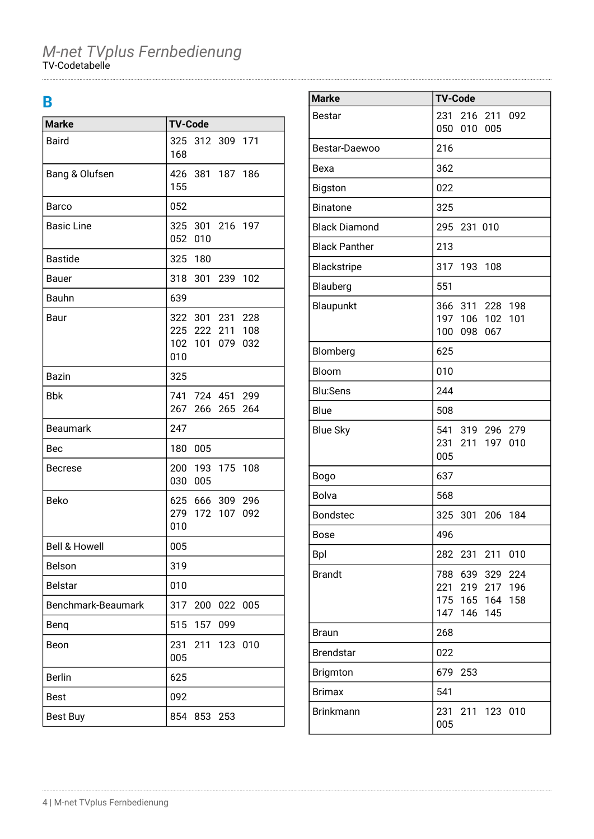### **B**

| <b>Marke</b>             | <b>TV-Code</b>                                               |     |             |     |
|--------------------------|--------------------------------------------------------------|-----|-------------|-----|
| <b>Baird</b>             | 325 312 309 171<br>168                                       |     |             |     |
| Bang & Olufsen           | 426 381 187 186<br>155                                       |     |             |     |
| Barco                    | 052                                                          |     |             |     |
| <b>Basic Line</b>        | 325 301 216 197<br>052 010                                   |     |             |     |
| <b>Bastide</b>           | 325 180                                                      |     |             |     |
| <b>Bauer</b>             | 318 301 239 102                                              |     |             |     |
| Bauhn                    | 639                                                          |     |             |     |
| Baur                     | 322 301 231 228<br>225 222 211 108<br>102 101 079 032<br>010 |     |             |     |
| Bazin                    | 325                                                          |     |             |     |
| <b>Bbk</b>               | 741 724 451 299<br>267                                       |     | 266 265 264 |     |
| <b>Beaumark</b>          | 247                                                          |     |             |     |
| Bec                      | 180 005                                                      |     |             |     |
| <b>Becrese</b>           | 200 193 175 108<br>030 005                                   |     |             |     |
| Beko                     | 625 666 309 296<br>279 172 107 092<br>010                    |     |             |     |
| <b>Bell &amp; Howell</b> | 005                                                          |     |             |     |
| Belson                   | 319                                                          |     |             |     |
| <b>Belstar</b>           | 010                                                          |     |             |     |
| Benchmark-Beaumark       | 317                                                          | 200 | 022         | 005 |
| Benq                     | 515                                                          | 157 | 099         |     |
| Beon                     | 231<br>005                                                   | 211 | 123 010     |     |
| <b>Berlin</b>            | 625                                                          |     |             |     |
| <b>Best</b>              | 092                                                          |     |             |     |
| <b>Best Buy</b>          | 854                                                          | 853 | 253         |     |

| <b>Marke</b>         | <b>TV-Code</b>                             |
|----------------------|--------------------------------------------|
| <b>Bestar</b>        | 231<br>216<br>211 092                      |
|                      | 050<br>010<br>005                          |
| Bestar-Daewoo        | 216                                        |
| Bexa                 | 362                                        |
| Bigston              | 022                                        |
| <b>Binatone</b>      | 325                                        |
| <b>Black Diamond</b> | 295<br>231 010                             |
| <b>Black Panther</b> | 213                                        |
| Blackstripe          | 317<br>193<br>108                          |
| Blauberg             | 551                                        |
| Blaupunkt            | 198<br>366 311<br>228                      |
|                      | 197 106<br>102<br>101<br>100<br>098<br>067 |
| Blomberg             | 625                                        |
| Bloom                | 010                                        |
| <b>Blu:Sens</b>      | 244                                        |
| Blue                 | 508                                        |
| <b>Blue Sky</b>      | 541 319 296 279                            |
|                      | 231<br>211<br>197<br>010                   |
|                      | 005                                        |
| <b>Bogo</b>          | 637                                        |
| Bolva                | 568                                        |
| <b>Bondstec</b>      | 325<br>301<br>206<br>184                   |
| <b>Bose</b>          | 496                                        |
| <b>Bpl</b>           | 282<br>231 211<br>010                      |
| <b>Brandt</b>        | 788<br>639 329<br>224                      |
|                      | 196<br>221<br>219<br>217                   |
|                      | 175 165 164<br>158<br>147<br>146 145       |
| <b>Braun</b>         | 268                                        |
| <b>Brendstar</b>     | 022                                        |
| Brigmton             | 679<br>253                                 |
| <b>Brimax</b>        | 541                                        |
| <b>Brinkmann</b>     | 231<br>211 123 010                         |
|                      | 005                                        |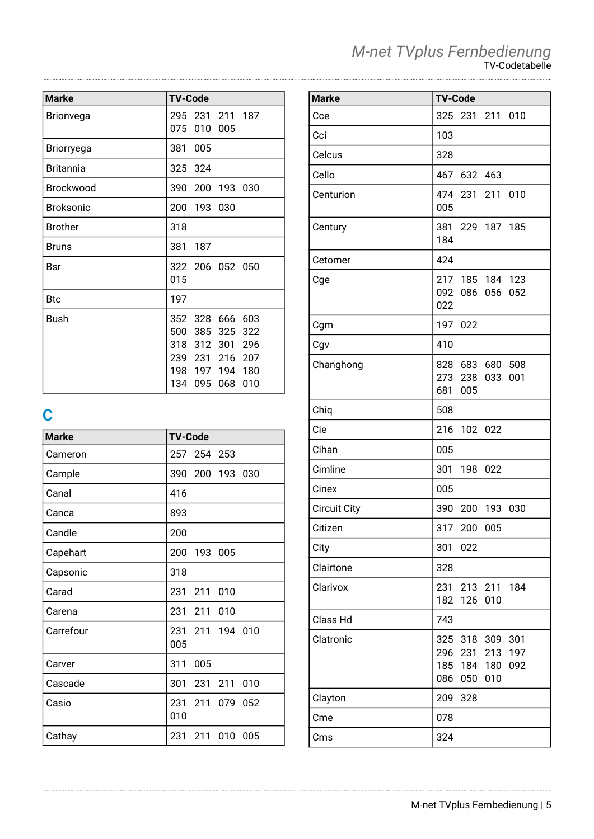| <b>Marke</b>     | <b>TV-Code</b>                                                     |     |                                  |                          |
|------------------|--------------------------------------------------------------------|-----|----------------------------------|--------------------------|
| Brionvega        | 295 231 211 187<br>075                                             | 010 | 005                              |                          |
| Briorryega       | 381                                                                | 005 |                                  |                          |
| <b>Britannia</b> | 325 324                                                            |     |                                  |                          |
| <b>Brockwood</b> | 390                                                                | 200 | 193 030                          |                          |
| <b>Broksonic</b> | 200 193 030                                                        |     |                                  |                          |
| <b>Brother</b>   | 318                                                                |     |                                  |                          |
| <b>Bruns</b>     | 381                                                                | 187 |                                  |                          |
| <b>Bsr</b>       | 322 206 052 050<br>015                                             |     |                                  |                          |
| <b>Btc</b>       | 197                                                                |     |                                  |                          |
| Bush             | 352 328<br>500<br>318 312 301<br>239 231<br>198 197 194 180<br>134 | 095 | 666 603<br>385 325<br>216<br>068 | 322<br>296<br>207<br>010 |

# **C**

| <b>Marke</b> | <b>TV-Code</b>               |
|--------------|------------------------------|
| Cameron      | 257<br>254 253               |
| Cample       | 390 200 193 030              |
| Canal        | 416                          |
| Canca        | 893                          |
| Candle       | 200                          |
| Capehart     | 200 193 005                  |
| Capsonic     | 318                          |
| Carad        | 211<br>231<br>010            |
| Carena       | 231<br>211<br>010            |
| Carrefour    | 231 211<br>194 010<br>005    |
| Carver       | 311<br>005                   |
| Cascade      | 301<br>231<br>211<br>010     |
| Casio        | 231 211<br>079<br>052<br>010 |
| Cathay       | 231<br>010<br>211<br>005     |

| <b>Marke</b>        | <b>TV-Code</b>                                                                               |
|---------------------|----------------------------------------------------------------------------------------------|
| Cce                 | 325<br>231 211 010                                                                           |
| Cci                 | 103                                                                                          |
| Celcus              | 328                                                                                          |
| Cello               | 467<br>632 463                                                                               |
| Centurion           | 474 231 211 010<br>005                                                                       |
| Century             | 381 229 187 185<br>184                                                                       |
| Cetomer             | 424                                                                                          |
| Cge                 | 217<br>185 184 123<br>092<br>052<br>086<br>056<br>022                                        |
| Cgm                 | 197<br>022                                                                                   |
| Cgv                 | 410                                                                                          |
| Changhong           | 828 683<br>680 508<br>273 238<br>033<br>001<br>681 005                                       |
| Chiq                | 508                                                                                          |
| Cie                 | 216<br>102 022                                                                               |
| Cihan               | 005                                                                                          |
| Cimline             | 301<br>198<br>022                                                                            |
| Cinex               | 005                                                                                          |
| <b>Circuit City</b> | 390<br>200<br>193 030                                                                        |
| Citizen             | 317<br>200<br>005                                                                            |
| City                | 301<br>022                                                                                   |
| Clairtone           | 328                                                                                          |
| Clarivox            | 231<br>213 211<br>184<br>126<br>182<br>010                                                   |
| Class Hd            | 743                                                                                          |
| Clatronic           | 318<br>309<br>301<br>325<br>197<br>296 231<br>213<br>185 184 180<br>092<br>086<br>050<br>010 |
| Clayton             | 209<br>328                                                                                   |
| Cme                 | 078                                                                                          |
| Cms                 | 324                                                                                          |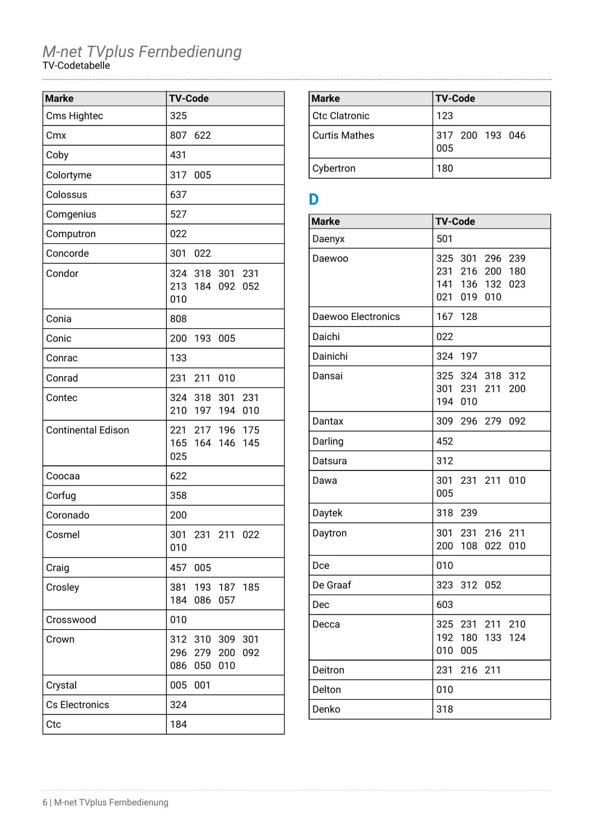| <b>Marke</b>              | <b>TV-Code</b>                                                         |
|---------------------------|------------------------------------------------------------------------|
| Cms Hightec               | 325                                                                    |
| Cmx                       | 807<br>622                                                             |
| Coby                      | 431                                                                    |
| Colortyme                 | 317<br>005                                                             |
| Colossus                  | 637                                                                    |
| Comgenius                 | 527                                                                    |
| Computron                 | 022                                                                    |
| Concorde                  | 301<br>022                                                             |
| Condor                    | 324 318 301 231<br>213<br>184 092<br>052<br>010                        |
| Conia                     | 808                                                                    |
| Conic                     | 200<br>193 005                                                         |
| Conrac                    | 133                                                                    |
| Conrad                    | 231<br>211<br>010                                                      |
| Contec                    | 324 318 301 231<br>210<br>197 194<br>010                               |
| <b>Continental Edison</b> | 221 217 196 175<br>165 164 146<br>145<br>025                           |
| Coocaa                    | 622                                                                    |
| Corfug                    | 358                                                                    |
| Coronado                  | 200                                                                    |
| Cosmel                    | 301 231 211 022<br>010                                                 |
| Craig                     | 457<br>005                                                             |
| Crosley                   | 381<br>193 187<br>185<br>184<br>086<br>057                             |
| Crosswood                 | 010                                                                    |
| Crown                     | 310<br>309<br>301<br>312<br>296 279<br>200<br>092<br>086<br>010<br>050 |
| Crystal                   | 005<br>001                                                             |
| Cs Electronics            | 324                                                                    |
| Ctc                       | 184                                                                    |

| <b>Marke</b>    | <b>TV-Code</b>         |
|-----------------|------------------------|
| Ctc Clatronic   | 123                    |
| l Curtis Mathes | 317 200 193 046<br>005 |
| Cybertron       | 180                    |

### **D**

| <b>Marke</b>       | <b>TV-Code</b>                                                                                     |
|--------------------|----------------------------------------------------------------------------------------------------|
| Daenyx             | 501                                                                                                |
| Daewoo             | 325<br>301 296<br>239<br>231<br>216<br>200<br>180<br>141<br>136<br>132<br>023<br>021<br>019<br>010 |
| Daewoo Electronics | 167<br>128                                                                                         |
| Daichi             | 022                                                                                                |
| Dainichi           | 324<br>197                                                                                         |
| Dansai             | 325<br>324<br>318<br>312<br>301<br>231 211<br>200<br>194<br>010                                    |
| Dantax             | 309<br>296 279<br>092                                                                              |
| Darling            | 452                                                                                                |
| Datsura            | 312                                                                                                |
| Dawa               | 301<br>231 211<br>010<br>005                                                                       |
| Daytek             | 318<br>239                                                                                         |
| Daytron            | 301<br>216 211<br>231<br>200<br>108<br>022<br>010                                                  |
| Dce                | 010                                                                                                |
| De Graaf           | 323<br>312<br>052                                                                                  |
| Dec                | 603                                                                                                |
| Decca              | 325<br>231<br>211<br>210<br>192<br>180<br>124<br>133<br>010<br>005                                 |
| Deitron            | 231<br>216 211                                                                                     |
| Delton             | 010                                                                                                |
| Denko              | 318                                                                                                |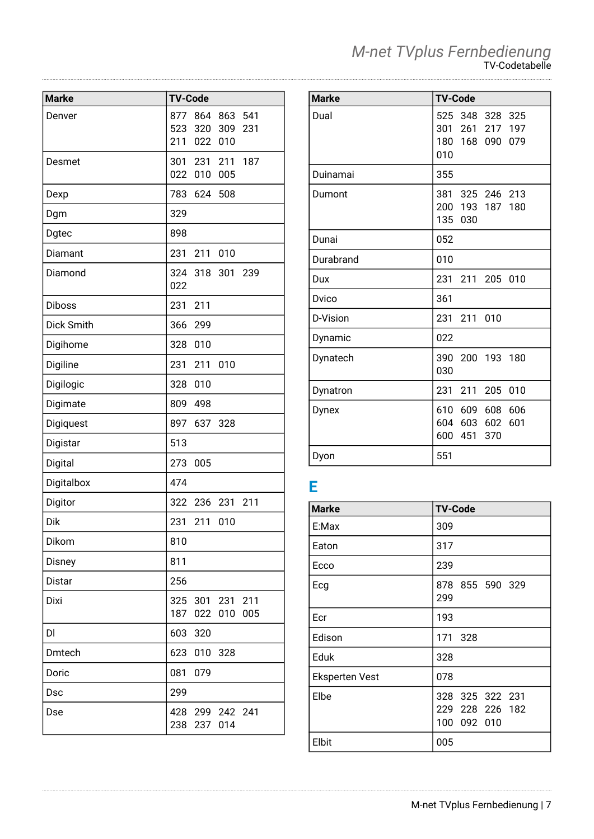|  | M-net TVplus Fernbedienung |
|--|----------------------------|
|  | TV-Codetabelle             |

| <b>Marke</b>      | <b>TV-Code</b> |                 |            |            |
|-------------------|----------------|-----------------|------------|------------|
|                   |                |                 |            |            |
| Denver            | 877<br>523     | 864<br>320      | 863<br>309 | 541<br>231 |
|                   | 211            | 022             | 010        |            |
|                   |                |                 |            |            |
| Desmet            | 022            | 301 231<br>010  | 211<br>005 | 187        |
|                   |                |                 |            |            |
| Dexp              | 783            | 624             | 508        |            |
| Dgm               | 329            |                 |            |            |
| Dgtec             | 898            |                 |            |            |
| Diamant           | 231            | 211             | 010        |            |
| Diamond           |                | 324 318 301     |            | 239        |
|                   | 022            |                 |            |            |
| <b>Diboss</b>     | 231            | 211             |            |            |
| <b>Dick Smith</b> | 366            | 299             |            |            |
| Digihome          | 328            | 010             |            |            |
| Digiline          | 231            | 211             | 010        |            |
| Digilogic         | 328            | 010             |            |            |
| Digimate          | 809            | 498             |            |            |
| Digiquest         | 897            | 637             | 328        |            |
| Digistar          | 513            |                 |            |            |
| Digital           | 273            | 005             |            |            |
| Digitalbox        | 474            |                 |            |            |
| Digitor           | 322            | 236             | 231        | 211        |
| Dik               | 231            | 211             | 010        |            |
| Dikom             | 810            |                 |            |            |
| Disney            | 811            |                 |            |            |
| <b>Distar</b>     | 256            |                 |            |            |
| Dixi              | 325            | 301             | 231        | 211        |
|                   | 187            | 022             | 010        | 005        |
| DI                | 603            | 320             |            |            |
| Dmtech            | 623            | 010             | 328        |            |
| Doric             | 081            | 079             |            |            |
| <b>Dsc</b>        | 299            |                 |            |            |
| Dse               |                | 428 299 242 241 |            |            |
|                   | 238            | 237             | 014        |            |

| <b>Marke</b> | <b>TV-Code</b>                                               |
|--------------|--------------------------------------------------------------|
| Dual         | 525 348 328 325<br>301 261 217 197<br>180 168 090 079<br>010 |
| Duinamai     | 355                                                          |
| Dumont       | 381 325 246 213<br>200 193 187 180<br>135 030                |
| Dunai        | 052                                                          |
| Durabrand    | 010                                                          |
| Dux          | 231 211 205 010                                              |
| Dvico        | 361                                                          |
| D-Vision     | 231 211 010                                                  |
| Dynamic      | 022                                                          |
| Dynatech     | 390 200 193 180<br>030                                       |
| Dynatron     | 231 211 205<br>010                                           |
| Dynex        | 610 609 608<br>606<br>604 603 602<br>601<br>600 451<br>370   |
| Dyon         | 551                                                          |

### **E**

| <b>Marke</b>          | <b>TV-Code</b>                                    |
|-----------------------|---------------------------------------------------|
| E:Max                 | 309                                               |
| Eaton                 | 317                                               |
| Ecco                  | 239                                               |
| Ecg                   | 878 855 590 329<br>299                            |
| Ecr                   | 193                                               |
| Edison                | 171 328                                           |
| Eduk                  | 328                                               |
| <b>Eksperten Vest</b> | 078                                               |
| Elbe                  | 328 325 322 231<br>229 228 226 182<br>100 092 010 |
| Elbit                 | 005                                               |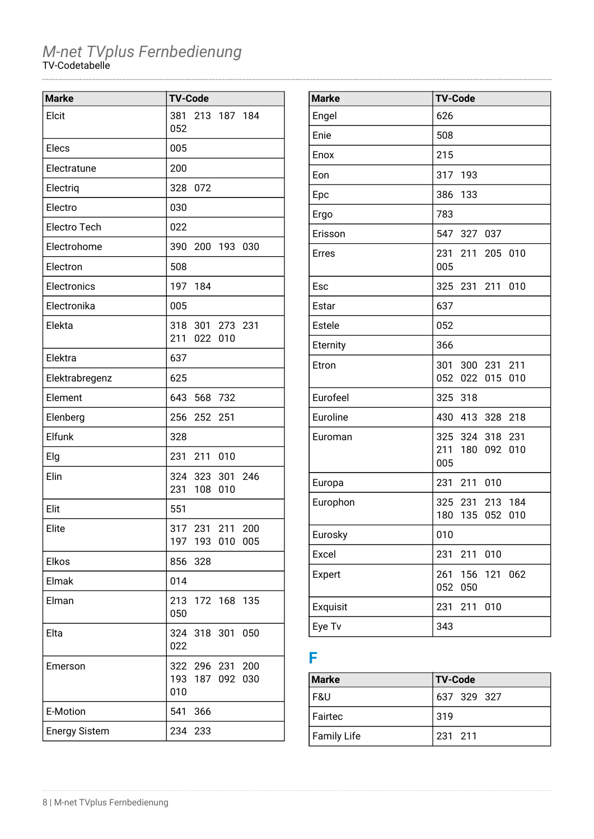| <b>Marke</b>         | <b>TV-Code</b>                                  |
|----------------------|-------------------------------------------------|
| Elcit                | 381<br>213 187 184<br>052                       |
| Elecs                | 005                                             |
| Electratune          | 200                                             |
| Electriq             | 328<br>072                                      |
| Electro              | 030                                             |
| Electro Tech         | 022                                             |
| Electrohome          | 390<br>200 193 030                              |
| Electron             | 508                                             |
| Electronics          | 197 184                                         |
| Electronika          | 005                                             |
| Elekta               | 318 301 273 231<br>211<br>022 010               |
| Elektra              | 637                                             |
| Elektrabregenz       | 625                                             |
| Element              | 643<br>568 732                                  |
| Elenberg             | 256<br>252 251                                  |
| Elfunk               | 328                                             |
| Elg                  | 231<br>211 010                                  |
| Elin                 | 324 323 301 246<br>231<br>108<br>010            |
| Elit                 | 551                                             |
| Elite                | 317 231<br>211<br>200<br>197 193 010 005        |
| Elkos                | 856<br>328                                      |
| Elmak                | 014                                             |
| Elman                | 213 172 168 135<br>050                          |
| Elta                 | 324 318 301<br>050<br>022                       |
| Emerson              | 200<br>322 296 231<br>193 187 092<br>030<br>010 |
| E-Motion             | 366<br>541                                      |
| <b>Energy Sistem</b> | 234 233                                         |

| <b>Marke</b> | <b>TV-Code</b>                                           |
|--------------|----------------------------------------------------------|
| Engel        | 626                                                      |
| Enie         | 508                                                      |
| Enox         | 215                                                      |
| Eon          | 317<br>-193                                              |
| Epc          | 386<br>133                                               |
| Ergo         | 783                                                      |
| Erisson      | 547 327 037                                              |
| <b>Erres</b> | 231<br>211<br>205 010<br>005                             |
| Esc          | 325 231 211<br>010                                       |
| Estar        | 637                                                      |
| Estele       | 052                                                      |
| Eternity     | 366                                                      |
| Etron        | 301<br>211<br>300 231<br>052<br>022<br>015<br>010        |
| Eurofeel     | 325 318                                                  |
| Euroline     | 430<br>413 328 218                                       |
| Euroman      | 325<br>324 318<br>231<br>211<br>180<br>092<br>010<br>005 |
| Europa       | 231<br>211<br>010                                        |
| Europhon     | 325 231 213 184<br>180<br>135<br>052<br>010              |
| Eurosky      | 010                                                      |
| Excel        | 231<br>010<br>211                                        |
| Expert       | 261<br>156<br>121<br>062<br>052<br>050                   |
| Exquisit     | 231<br>211<br>010                                        |
| Eye Tv       | 343                                                      |

### **F**

| <b>Marke</b> | <b>TV-Code</b> |
|--------------|----------------|
| l F&U        | 637 329 327    |
| l Fairtec    | 319            |
| Family Life  | 231 211        |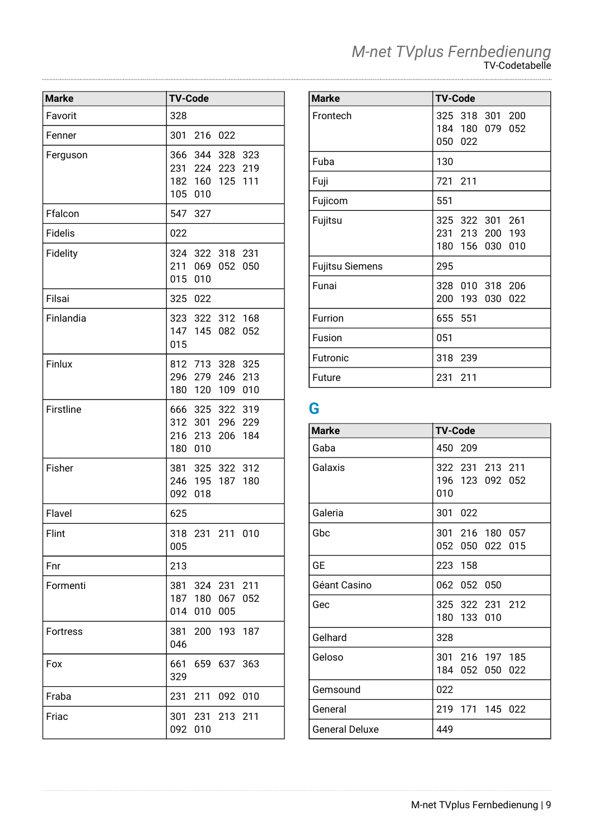| <b>Marke</b>    | <b>TV-Code</b>                                                                  |
|-----------------|---------------------------------------------------------------------------------|
| Favorit         | 328                                                                             |
| Fenner          | 301<br>216<br>022                                                               |
| Ferguson        | 366 344 328<br>323<br>231 224 223<br>219<br>182 160<br>125<br>111<br>105<br>010 |
| Ffalcon         | 547<br>327                                                                      |
| <b>Fidelis</b>  | 022                                                                             |
| Fidelity        | 324 322 318 231<br>211<br>069<br>050<br>052<br>015<br>010                       |
| Filsai          | 325<br>022                                                                      |
| Finlandia       | 323 322 312 168<br>147 145<br>082<br>052<br>015                                 |
| Finlux          | 812 713 328 325<br>296 279 246<br>213<br>180<br>120<br>109<br>010               |
| Firstline       | 666 325 322 319<br>296 229<br>312 301<br>216 213<br>184<br>206<br>180 010       |
| Fisher          | 381 325 322 312<br>246 195<br>187<br>180<br>092<br>018                          |
| Flavel          | 625                                                                             |
| Flint           | 318<br>231 211 010<br>005                                                       |
| Fnr             | 213                                                                             |
| Formenti        | 381 324 231 211<br>187<br>180<br>067<br>052<br>014<br>010<br>005                |
| <b>Fortress</b> | 381<br>200 193 187<br>046                                                       |
| Fox             | 661<br>659 637 363<br>329                                                       |
| Fraba           | 211<br>231<br>092<br>010                                                        |
| Friac           | 231<br>213<br>301<br>211<br>092<br>010                                          |

| <b>Marke</b>           | <b>TV-Code</b>                                           |  |  |
|------------------------|----------------------------------------------------------|--|--|
| Frontech               | 325 318 301 200<br>184 180<br>079<br>052<br>050 022      |  |  |
| Fuba                   | 130                                                      |  |  |
| Fuji                   | 721 211                                                  |  |  |
| Fujicom                | 551                                                      |  |  |
| Fujitsu                | 325 322 301 261<br>231 213 200 193<br>180 156 030<br>010 |  |  |
| <b>Fujitsu Siemens</b> | 295                                                      |  |  |
| Funai                  | 328<br>010 318 206<br>200<br>193<br>022<br>030           |  |  |
| Furrion                | 655 551                                                  |  |  |
| Fusion                 | 051                                                      |  |  |
| Futronic               | 318<br>239                                               |  |  |
| Future                 | 231<br>211                                               |  |  |

# **G**

| <b>Marke</b>          | <b>TV-Code</b>                            |
|-----------------------|-------------------------------------------|
| Gaba                  | 450 209                                   |
| Galaxis               | 322 231 213 211<br>196 123 092 052<br>010 |
| Galeria               | 301<br>022                                |
| Gbc                   | 301 216 180 057<br>052 050 022<br>015     |
| GЕ                    | 158<br>223                                |
| Géant Casino          | 062<br>052<br>050                         |
| Gec                   | 325 322 231 212<br>180 133<br>010         |
| Gelhard               | 328                                       |
| Geloso                | 301 216 197 185<br>184 052<br>050<br>022  |
| Gemsound              | 022                                       |
| General               | 219<br>171 145 022                        |
| <b>General Deluxe</b> | 449                                       |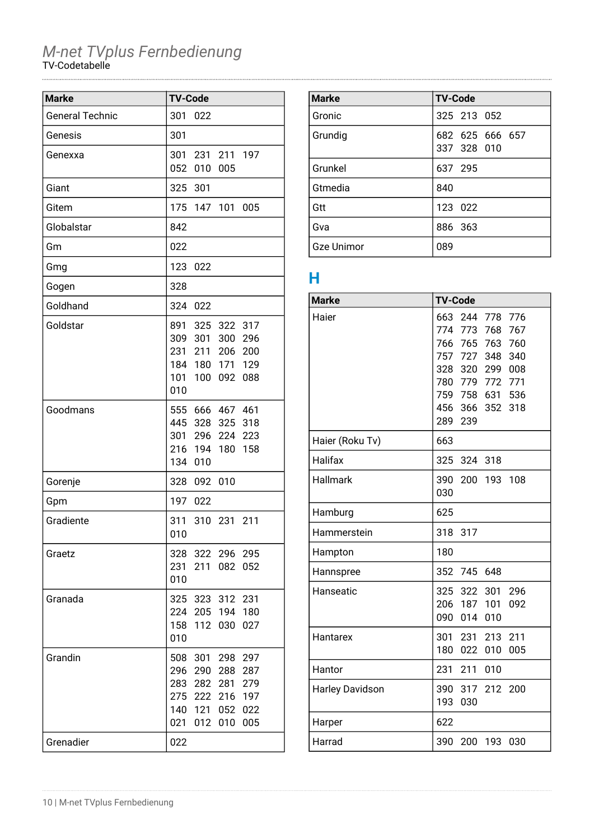| <b>Marke</b>           | <b>TV-Code</b>                                                                                                                                           |
|------------------------|----------------------------------------------------------------------------------------------------------------------------------------------------------|
| <b>General Technic</b> | 301<br>022                                                                                                                                               |
| Genesis                | 301                                                                                                                                                      |
| Genexxa                | 301<br>231<br>211<br>197<br>052<br>010<br>005                                                                                                            |
| Giant                  | 325<br>301                                                                                                                                               |
| Gitem                  | 175<br>147<br>101<br>005                                                                                                                                 |
| Globalstar             | 842                                                                                                                                                      |
| Gm                     | 022                                                                                                                                                      |
| Gmg                    | 123<br>022                                                                                                                                               |
| Gogen                  | 328                                                                                                                                                      |
| Goldhand               | 324<br>022                                                                                                                                               |
| Goldstar               | 891<br>325<br>322<br>317<br>309<br>300<br>301<br>296<br>231<br>211<br>206<br>200<br>184 180<br>129<br>171<br>101<br>100<br>092<br>088<br>010             |
| Goodmans               | 555 666 467 461<br>445<br>328 325<br>318<br>301<br>296 224<br>223<br>216<br>194<br>180<br>158<br>134<br>010                                              |
| Gorenje                | 328<br>010<br>092                                                                                                                                        |
| Gpm                    | 197<br>022                                                                                                                                               |
| Gradiente              | 311<br>310<br>231<br>211<br>010                                                                                                                          |
| Graetz                 | 328<br>322 296 295<br>231<br>211<br>082<br>052<br>010                                                                                                    |
| Granada                | 325 323 312 231<br>224 205 194<br>180<br>158<br>112 030<br>027<br>010                                                                                    |
| Grandin                | 297<br>508 301<br>298<br>296<br>290<br>288<br>287<br>282 281<br>283<br>279<br>222 216<br>275<br>197<br>140<br>121 052<br>022<br>021<br>012<br>010<br>005 |
| Grenadier              | 022                                                                                                                                                      |

| <b>Marke</b>      | <b>TV-Code</b>                 |
|-------------------|--------------------------------|
| Gronic            | 325 213 052                    |
| Grundig           | 682 625 666 657<br>337 328 010 |
| Grunkel           | 637 295                        |
| Gtmedia           | 840                            |
| Gtt               | 123 022                        |
| Gva               | 886 363                        |
| <b>Gze Unimor</b> | 089                            |

### **H**

| <b>Marke</b>           | <b>TV-Code</b>                                                                                                                                                                                 |
|------------------------|------------------------------------------------------------------------------------------------------------------------------------------------------------------------------------------------|
| Haier                  | 663<br>244<br>778<br>776<br>774 773<br>768<br>767<br>766 765 763<br>760<br>727<br>757<br>348<br>340<br>328<br>320<br>299<br>008<br>780 779 772 771<br>759 758 631 536<br>456 366<br>352<br>318 |
| Haier (Roku Tv)        | 289<br>239<br>663                                                                                                                                                                              |
| Halifax                | 325<br>324 318                                                                                                                                                                                 |
| Hallmark               | 390<br>200<br>193<br>108<br>030                                                                                                                                                                |
| Hamburg                | 625                                                                                                                                                                                            |
| Hammerstein            | 318<br>317                                                                                                                                                                                     |
| Hampton                | 180                                                                                                                                                                                            |
| Hannspree              | 352<br>745 648                                                                                                                                                                                 |
| Hanseatic              | 325<br>322<br>301<br>296<br>206 187 101<br>092<br>090<br>014<br>010                                                                                                                            |
| Hantarex               | 301<br>231<br>213<br>211<br>180<br>022<br>010<br>005                                                                                                                                           |
| Hantor                 | 231<br>211<br>010                                                                                                                                                                              |
| <b>Harley Davidson</b> | 390<br>317<br>212<br>200<br>193<br>030                                                                                                                                                         |
| Harper                 | 622                                                                                                                                                                                            |
| Harrad                 | 390<br>200<br>193<br>030                                                                                                                                                                       |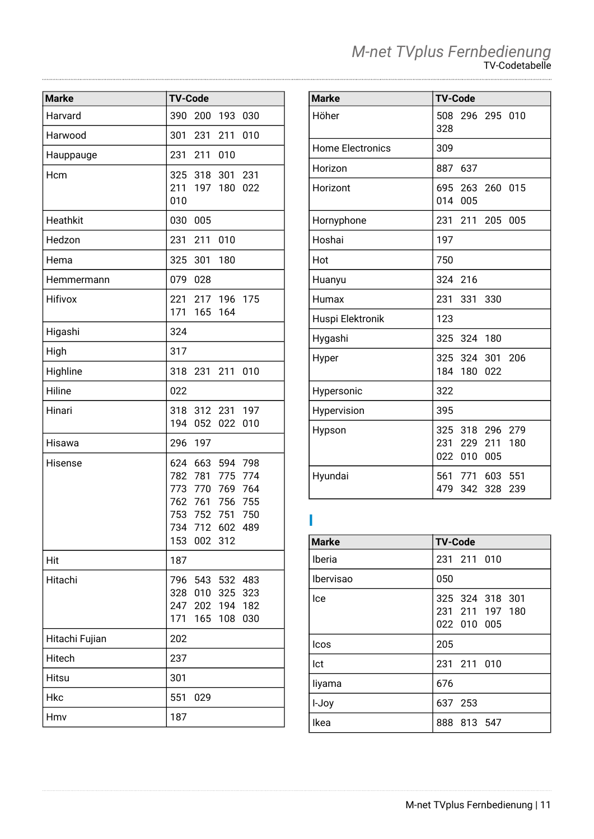| <b>Marke</b>   | <b>TV-Code</b>         |            |                |            |
|----------------|------------------------|------------|----------------|------------|
| Harvard        | 390                    | 200        | 193            | 030        |
| Harwood        | 301                    | 231        | 211            | 010        |
| Hauppauge      | 231                    | 211        | 010            |            |
| Hcm            | 325                    | 318        | 301            | 231        |
|                | 211<br>010             | 197        | 180            | 022        |
| Heathkit       | 030                    | 005        |                |            |
| Hedzon         | 231                    | 211        | 010            |            |
| Hema           | 325                    | 301        | 180            |            |
| Hemmermann     | 079                    | 028        |                |            |
| Hifivox        | 221<br>171             | 217<br>165 | 196 175<br>164 |            |
| Higashi        | 324                    |            |                |            |
| High           | 317                    |            |                |            |
| Highline       | 318                    |            | 231 211        | 010        |
| Hiline         | 022                    |            |                |            |
| Hinari         | 318<br>194             | 312<br>052 | 231<br>022     | 197<br>010 |
| Hisawa         | 296                    | 197        |                |            |
| Hisense        | 624                    | 663        | 594            | 798        |
|                | 782 781                |            | 775            | 774        |
|                | 773 770 769<br>762 761 |            | 756            | 764<br>755 |
|                | 753 752                |            | 751            | 750        |
|                | 734 712 602            |            |                | 489        |
|                | 153                    | 002 312    |                |            |
| Hit            | 187                    |            |                |            |
| Hitachi        | 796                    |            | 543 532        | 483        |
|                | 328                    | 010        | 325            | 323        |
|                | 247<br>171             | 202<br>165 | 194<br>108     | 182<br>030 |
| Hitachi Fujian | 202                    |            |                |            |
| Hitech         | 237                    |            |                |            |
| Hitsu          | 301                    |            |                |            |
| Hkc            | 551                    | 029        |                |            |
| Hmv            | 187                    |            |                |            |

| <b>Marke</b>            | <b>TV-Code</b>                                                   |
|-------------------------|------------------------------------------------------------------|
| Höher                   | 296 295 010<br>508<br>328                                        |
| <b>Home Electronics</b> | 309                                                              |
| Horizon                 | 887<br>637                                                       |
| Horizont                | 695 263 260 015<br>014 005                                       |
| Hornyphone              | 231<br>211<br>205<br>005                                         |
| Hoshai                  | 197                                                              |
| Hot                     | 750                                                              |
| Huanyu                  | 324<br>216                                                       |
| Humax                   | 231<br>330<br>331                                                |
| Huspi Elektronik        | 123                                                              |
| Hygashi                 | 325 324 180                                                      |
| Hyper                   | 325 324 301<br>- 206<br>184<br>022<br>180                        |
| Hypersonic              | 322                                                              |
| Hypervision             | 395                                                              |
| Hypson                  | 325 318<br>296<br>279<br>231 229<br>211<br>180<br>022 010<br>005 |
| Hyundai                 | 561 771<br>603<br>551<br>479<br>342<br>328<br>239                |

#### **I**

| <b>Marke</b> | <b>TV-Code</b>                                    |
|--------------|---------------------------------------------------|
| Iberia       | 231 211 010                                       |
| Ibervisao    | 050                                               |
| Ice          | 325 324 318 301<br>231 211 197 180<br>022 010 005 |
| <b>Icos</b>  | 205                                               |
| Ict          | 231 211 010                                       |
| liyama       | 676                                               |
| I-Joy        | 637 253                                           |
| Ikea         | 888 813 547                                       |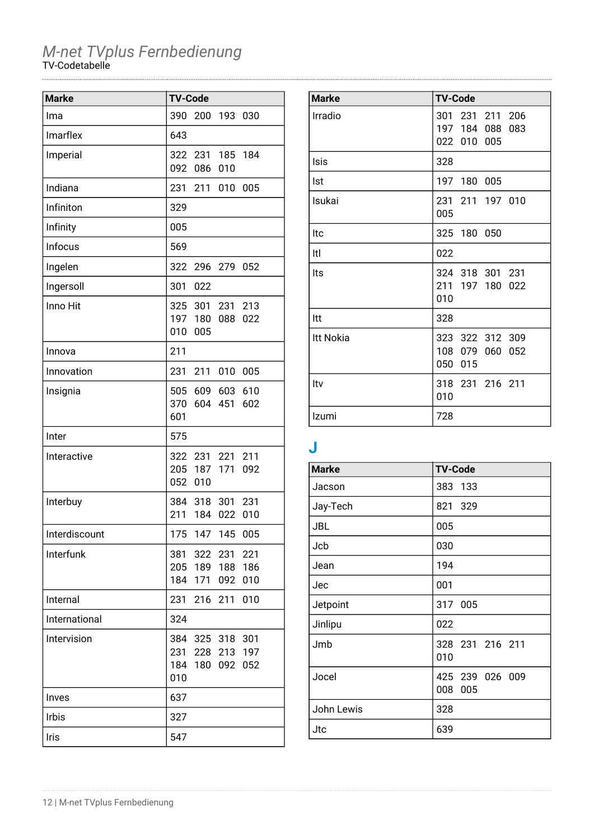| <b>Marke</b>  | <b>TV-Code</b>    |                                   |            |                   |
|---------------|-------------------|-----------------------------------|------------|-------------------|
| Ima           | 390               | 200                               | 193        | 030               |
| Imarflex      | 643               |                                   |            |                   |
| Imperial      | 092               | 322 231<br>086                    | 185<br>010 | 184               |
| Indiana       | 231               | 211                               | 010        | 005               |
| Infiniton     | 329               |                                   |            |                   |
| Infinity      | 005               |                                   |            |                   |
| Infocus       | 569               |                                   |            |                   |
| Ingelen       | 322               | 296                               | 279        | 052               |
| Ingersoll     | 301               | 022                               |            |                   |
| Inno Hit      | 325<br>197<br>010 | 301<br>180<br>005                 | 231<br>088 | 213<br>022        |
| Innova        | 211               |                                   |            |                   |
| Innovation    | 231               | 211                               | 010        | 005               |
| Insignia      | 370<br>601        | 505 609 603                       | 604 451    | 610<br>602        |
| Inter         | 575               |                                   |            |                   |
| Interactive   | 052               | 322 231<br>205 187 171<br>010     | 221        | 211<br>092        |
| Interbuy      | 211               | 384 318<br>184                    | 301<br>022 | 231<br>010        |
| Interdiscount |                   | 175 147 145 005                   |            |                   |
| Interfunk     | 184               | 381 322 231 221<br>205 189<br>171 | 188<br>092 | 186<br>010        |
| Internal      | 231               | 216                               | 211        | 010               |
| International | 324               |                                   |            |                   |
| Intervision   | 231<br>184<br>010 | 384 325 318<br>228<br>180         | 213<br>092 | 301<br>197<br>052 |
| Inves         | 637               |                                   |            |                   |
| <b>Irbis</b>  | 327               |                                   |            |                   |
| Iris          | 547               |                                   |            |                   |

| <b>Marke</b> | <b>TV-Code</b>                                       |
|--------------|------------------------------------------------------|
| Irradio      | 301 231 211 206<br>197 184 088<br>083<br>022 010 005 |
| Isis         | 328                                                  |
| Ist          | 197 180 005                                          |
| Isukai       | 231 211 197 010<br>005                               |
| Itc          | 325 180 050                                          |
| Itl          | 022                                                  |
| Its          | 324 318 301 231<br>211<br>197 180<br>022<br>010      |
| ltt          | 328                                                  |
| Itt Nokia    | 323 322 312 309<br>108 079 060<br>052<br>050<br>015  |
| Itv          | 318 231 216 211<br>010                               |
| Izumi        | 728                                                  |

# **J**

| <b>Marke</b> | <b>TV-Code</b>                |
|--------------|-------------------------------|
| Jacson       | 383 133                       |
| Jay-Tech     | 821 329                       |
| <b>JBL</b>   | 005                           |
| Jcb          | 030                           |
| Jean         | 194                           |
| Jec          | 001                           |
| Jetpoint     | 317 005                       |
| Jinlipu      | 022                           |
| Jmb          | 328 231 216 211<br>010        |
| Jocel        | 425 239 026 009<br>008<br>005 |
| John Lewis   | 328                           |
| Jtc          | 639                           |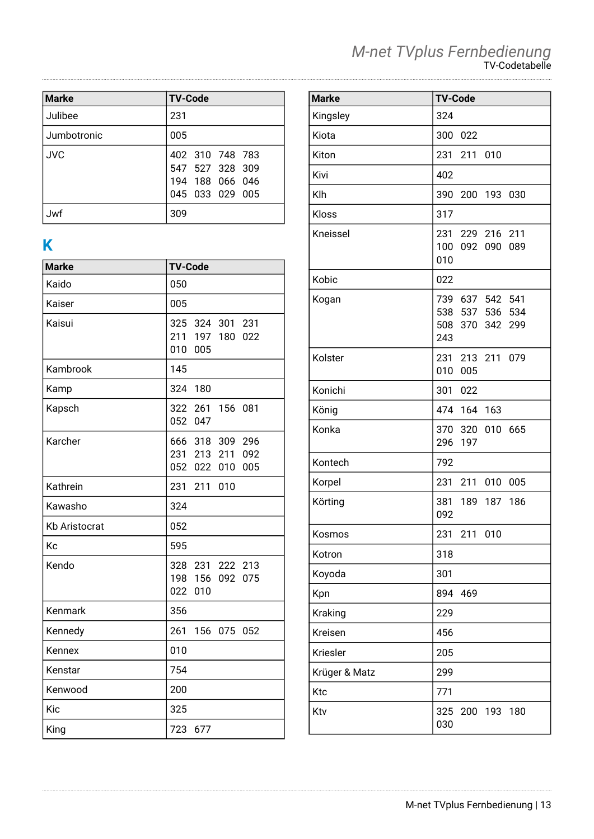| <b>Marke</b> | <b>TV-Code</b>                                                           |
|--------------|--------------------------------------------------------------------------|
| Julibee      | 231                                                                      |
| Jumbotronic  | 005                                                                      |
| <b>JVC</b>   | 402 310 748 783<br>547 527 328 309<br>194 188 066 046<br>045 033 029 005 |
| Jwf          | 309                                                                      |

# **K**

| <b>Marke</b>         | <b>TV-Code</b>                                                          |
|----------------------|-------------------------------------------------------------------------|
| Kaido                | 050                                                                     |
| Kaiser               | 005                                                                     |
| Kaisui               | 325 324 301 231<br>211 197<br>180<br>022<br>010<br>005                  |
| Kambrook             | 145                                                                     |
| Kamp                 | 324<br>180                                                              |
| Kapsch               | 322<br>261<br>156<br>081<br>052<br>047                                  |
| Karcher              | 666 318 309<br>296<br>231 213<br>211<br>092<br>052<br>022<br>005<br>010 |
| Kathrein             | 231<br>211<br>010                                                       |
| Kawasho              | 324                                                                     |
| <b>Kb Aristocrat</b> | 052                                                                     |
| Kc                   | 595                                                                     |
| Kendo                | 328 231<br>222<br>213<br>198 156 092<br>075<br>022<br>010               |
| Kenmark              | 356                                                                     |
| Kennedy              | 261<br>156<br>075<br>052                                                |
| Kennex               | 010                                                                     |
| Kenstar              | 754                                                                     |
| Kenwood              | 200                                                                     |
| Kic                  | 325                                                                     |
| King                 | 723<br>677                                                              |

| <b>Marke</b>  | <b>TV-Code</b>                                                  |
|---------------|-----------------------------------------------------------------|
| Kingsley      | 324                                                             |
| Kiota         | 300<br>022                                                      |
| Kiton         | 231<br>211<br>010                                               |
| Kivi          | 402                                                             |
| Klh           | 390<br>200<br>193 030                                           |
| Kloss         | 317                                                             |
| Kneissel      | 231<br>229 216 211<br>100<br>092 090<br>089<br>010              |
| Kobic         | 022                                                             |
| Kogan         | 739<br>637 542 541<br>538 537 536 534<br>508 370 342 299<br>243 |
| Kolster       | 231 213 211 079<br>010<br>005                                   |
| Konichi       | 301<br>022                                                      |
| König         | 474<br>164<br>163                                               |
| Konka         | 320 010 665<br>370<br>197<br>296                                |
| Kontech       | 792                                                             |
| Korpel        | 231<br>211<br>010<br>005                                        |
| Körting       | 381<br>189 187<br>186<br>092                                    |
| Kosmos        | 231 211 010                                                     |
| Kotron        | 318                                                             |
| Koyoda        | 301                                                             |
| Kpn           | 894<br>469                                                      |
| Kraking       | 229                                                             |
| Kreisen       | 456                                                             |
| Kriesler      | 205                                                             |
| Krüger & Matz | 299                                                             |
| Ktc           | 771                                                             |
| Ktv           | 325<br>200<br>193<br>180<br>030                                 |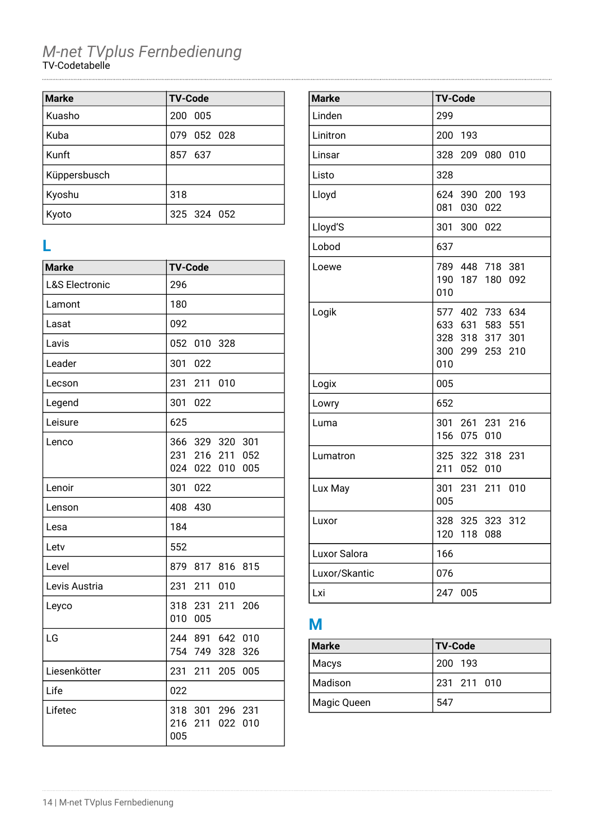| <b>Marke</b> | <b>TV-Code</b> |
|--------------|----------------|
| Kuasho       | 200 005        |
| Kuba         | 079 052 028    |
| Kunft        | 857 637        |
| Küppersbusch |                |
| Kyoshu       | 318            |
| Kyoto        | 325 324 052    |

### **L**

| <b>Marke</b>              | <b>TV-Code</b>                                                                   |
|---------------------------|----------------------------------------------------------------------------------|
| <b>L&amp;S Electronic</b> | 296                                                                              |
| Lamont                    | 180                                                                              |
| Lasat                     | 092                                                                              |
| Lavis                     | 052<br>010<br>328                                                                |
| Leader                    | 301<br>022                                                                       |
| Lecson                    | 211<br>231<br>010                                                                |
| Legend                    | 301<br>022                                                                       |
| Leisure                   | 625                                                                              |
| Lenco                     | 366<br>329<br>320<br>301<br>231<br>216<br>211<br>052<br>024<br>022<br>010<br>005 |
| Lenoir                    | 301<br>022                                                                       |
| Lenson                    | 408<br>430                                                                       |
| Lesa                      | 184                                                                              |
| Letv                      | 552                                                                              |
| Level                     | 879<br>817<br>816<br>815                                                         |
| Levis Austria             | 231<br>211<br>010                                                                |
| Leyco                     | 318<br>231<br>211<br>206<br>010<br>005                                           |
| LG                        | 244 891<br>642<br>010<br>754<br>749<br>328<br>326                                |
| Liesenkötter              | 231<br>211<br>205<br>005                                                         |
| Life                      | 022                                                                              |
| Lifetec                   | 318<br>301<br>296<br>231<br>216<br>211<br>022<br>010<br>005                      |

| <b>Marke</b>  | <b>TV-Code</b>                                                                                 |
|---------------|------------------------------------------------------------------------------------------------|
| Linden        | 299                                                                                            |
| Linitron      | 200<br>-193                                                                                    |
| Linsar        | 328<br>209<br>080<br>010                                                                       |
| Listo         | 328                                                                                            |
| Lloyd         | 624<br>390 200 193<br>081<br>030<br>022                                                        |
| Lloyd'S       | 301<br>300<br>022                                                                              |
| Lobod         | 637                                                                                            |
| Loewe         | 789 448 718<br>381<br>190 187<br>180<br>092<br>010                                             |
| Logik         | 577 402 733 634<br>633 631 583<br>551<br>318 317<br>328<br>301<br>300<br>299 253<br>210<br>010 |
| Logix         | 005                                                                                            |
| Lowry         | 652                                                                                            |
| Luma          | 261 231 216<br>301<br>156<br>075 010                                                           |
| Lumatron      | 325<br>322 318<br>231<br>052 010<br>211                                                        |
| Lux May       | 211<br>010<br>301<br>231<br>005                                                                |
| Luxor         | 328<br>325<br>323<br>312<br>120<br>118<br>088                                                  |
| Luxor Salora  | 166                                                                                            |
| Luxor/Skantic | 076                                                                                            |
| Lxi           | 247<br>005                                                                                     |

# **M**

| <b>Marke</b> | <b>TV-Code</b> |
|--------------|----------------|
| Macys        | 200 193        |
| Madison      | 231 211 010    |
| Magic Queen  | 547            |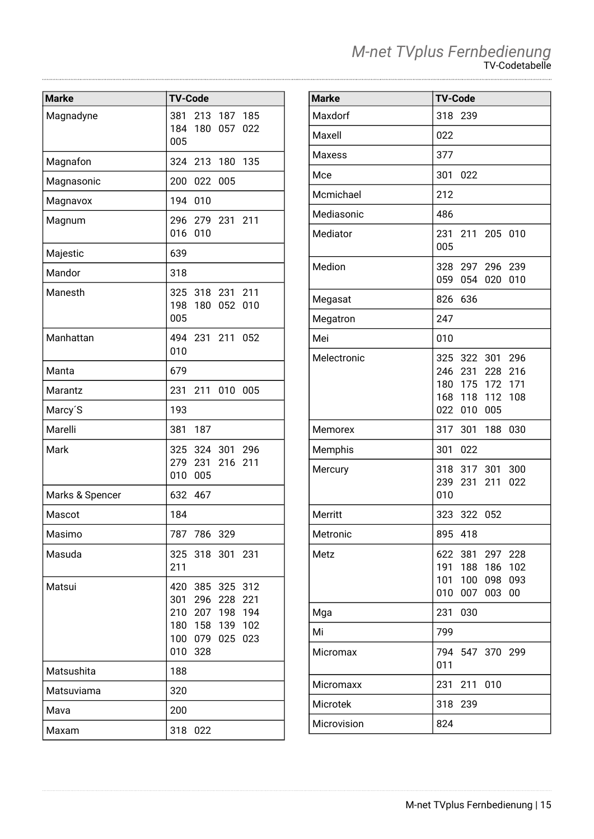| <b>Marke</b>         | <b>TV-Code</b>                                                                                                              |
|----------------------|-----------------------------------------------------------------------------------------------------------------------------|
| Magnadyne            | 213 187 185<br>381<br>184 180<br>057<br>022<br>005                                                                          |
| Magnafon             | 324 213<br>135<br>180                                                                                                       |
| Magnasonic           | 200<br>022<br>005                                                                                                           |
| Magnavox             | 194<br>010                                                                                                                  |
| Magnum               | 296 279 231 211<br>016<br>010                                                                                               |
| Majestic             | 639                                                                                                                         |
| Mandor               | 318                                                                                                                         |
| Manesth              | 325 318 231<br>211<br>198<br>180<br>052<br>010<br>005                                                                       |
| Manhattan            | 494 231<br>211<br>052<br>010                                                                                                |
| Manta                | 679                                                                                                                         |
| Marantz              | 231<br>211<br>010<br>005                                                                                                    |
| Marcy <sup>'</sup> S | 193                                                                                                                         |
| Marelli              | 381<br>187                                                                                                                  |
| Mark                 | 325 324 301 296<br>279 231 216<br>211<br>010<br>005                                                                         |
| Marks & Spencer      | 632 467                                                                                                                     |
| Mascot               | 184                                                                                                                         |
| Masimo               | 787<br>786<br>329                                                                                                           |
| Masuda               | 325<br>318<br>301<br>231<br>211                                                                                             |
| Matsui               | 420 385 325<br>312<br>221<br>301 296 228<br>194<br>210 207 198<br>180 158<br>139<br>102<br>100 079 025<br>023<br>010<br>328 |
| Matsushita           | 188                                                                                                                         |
| Matsuviama           | 320                                                                                                                         |
| Mava                 | 200                                                                                                                         |
| Maxam                | 318<br>022                                                                                                                  |

| <b>Marke</b>  | <b>TV-Code</b>                                                                                           |
|---------------|----------------------------------------------------------------------------------------------------------|
| Maxdorf       | 318<br>239                                                                                               |
| Maxell        | 022                                                                                                      |
| <b>Maxess</b> | 377                                                                                                      |
| Mce           | 301<br>022                                                                                               |
| Mcmichael     | 212                                                                                                      |
| Mediasonic    | 486                                                                                                      |
| Mediator      | 231<br>211 205 010<br>005                                                                                |
| Medion        | 328 297 296 239<br>059<br>054<br>020<br>010                                                              |
| Megasat       | 826<br>636                                                                                               |
| Megatron      | 247                                                                                                      |
| Mei           | 010                                                                                                      |
| Melectronic   | 325 322 301 296<br>246 231 228<br>216<br>180 175 172 171<br>168 118<br>112<br>108<br>022 010<br>005      |
| Memorex       | 317<br>301<br>188<br>030                                                                                 |
| Memphis       | 301<br>022                                                                                               |
| Mercury       | 317<br>301<br>300<br>318<br>239<br>231<br>211<br>022<br>010                                              |
| Merritt       | 323<br>322<br>052                                                                                        |
| Metronic      | 895<br>418                                                                                               |
| Metz          | 622<br>381<br>297 228<br>191<br>188<br>186<br>102<br>100<br>093<br>101<br>098<br>010<br>007<br>003<br>00 |
| Mga           | 030<br>231                                                                                               |
| Mi            | 799                                                                                                      |
| Micromax      | 794 547 370 299<br>011                                                                                   |
| Micromaxx     | 010<br>231<br>211                                                                                        |
| Microtek      | 318<br>239                                                                                               |
| Microvision   | 824                                                                                                      |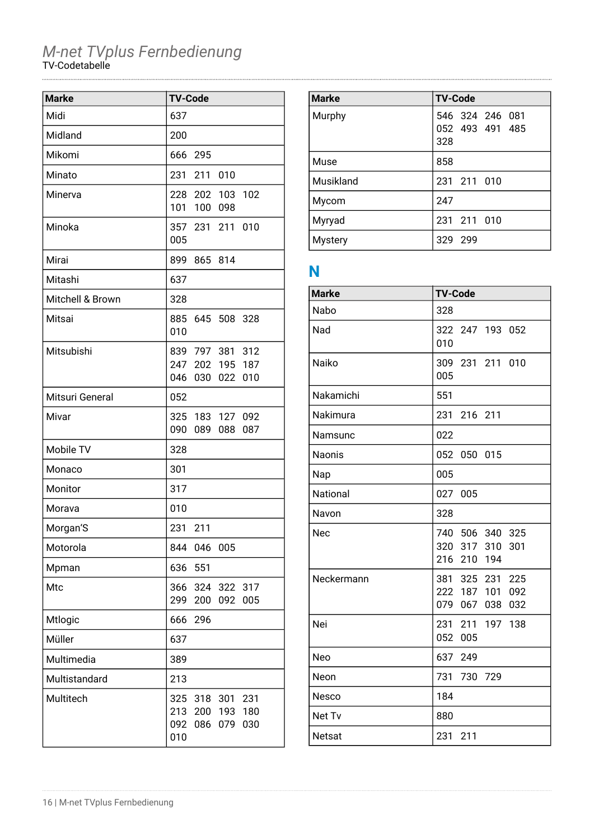| <b>Marke</b>     | <b>TV-Code</b>                                                                       |
|------------------|--------------------------------------------------------------------------------------|
| Midi             | 637                                                                                  |
| Midland          | 200                                                                                  |
| Mikomi           | 666 295                                                                              |
| Minato           | 231 211 010                                                                          |
| Minerva          | 228 202 103 102<br>101 100 098                                                       |
| Minoka           | 357 231 211 010<br>005                                                               |
| Mirai            | 899 865 814                                                                          |
| Mitashi          | 637                                                                                  |
| Mitchell & Brown | 328                                                                                  |
| Mitsai           | 885 645 508 328<br>010                                                               |
| Mitsubishi       | 839 797 381 312<br>247 202 195 187<br>046<br>030 022<br>010                          |
| Mitsuri General  | 052                                                                                  |
| Mivar            | 325 183 127 092<br>090<br>089<br>088<br>087                                          |
| Mobile TV        | 328                                                                                  |
| Monaco           | 301                                                                                  |
| Monitor          | 317                                                                                  |
| Morava           | 010                                                                                  |
| Morgan'S         | 231 211                                                                              |
| Motorola         | 844<br>046<br>005                                                                    |
| Mpman            | 636<br>551                                                                           |
| Mtc              | 366<br>324 322<br>317<br>299<br>092<br>005<br>200                                    |
| Mtlogic          | 666<br>296                                                                           |
| Müller           | 637                                                                                  |
| Multimedia       | 389                                                                                  |
| Multistandard    | 213                                                                                  |
| Multitech        | 325<br>318 301<br>231<br>213<br>200<br>193<br>180<br>092<br>086<br>079<br>030<br>010 |

| <b>Marke</b>   | <b>TV-Code</b>                            |
|----------------|-------------------------------------------|
| Murphy         | 546 324 246 081<br>052 493 491 485<br>328 |
| Muse           | 858                                       |
| Musikland      | 231 211 010                               |
| Mycom          | 247                                       |
| Myryad         | 231 211 010                               |
| <b>Mystery</b> | 329 299                                   |

# **N**

| <b>Marke</b>  | <b>TV-Code</b>                                                    |
|---------------|-------------------------------------------------------------------|
| Nabo          | 328                                                               |
| Nad           | 322 247 193 052<br>010                                            |
| Naiko         | 309 231 211 010<br>005                                            |
| Nakamichi     | 551                                                               |
| Nakimura      | 231 216 211                                                       |
| Namsunc       | 022                                                               |
| <b>Naonis</b> | 052<br>050 015                                                    |
| Nap           | 005                                                               |
| National      | 027<br>005                                                        |
| Navon         | 328                                                               |
| Nec           | 740 506 340 325<br>320<br>317<br>310<br>301<br>216<br>210 194     |
| Neckermann    | 381 325 231 225<br>222 187 101<br>092<br>079<br>067<br>038<br>032 |
| Nei           | 231<br>211 197 138<br>052<br>005                                  |
| Neo           | 637 249                                                           |
| Neon          | 731<br>730<br>729                                                 |
| Nesco         | 184                                                               |
| Net Tv        | 880                                                               |
| Netsat        | 231<br>211                                                        |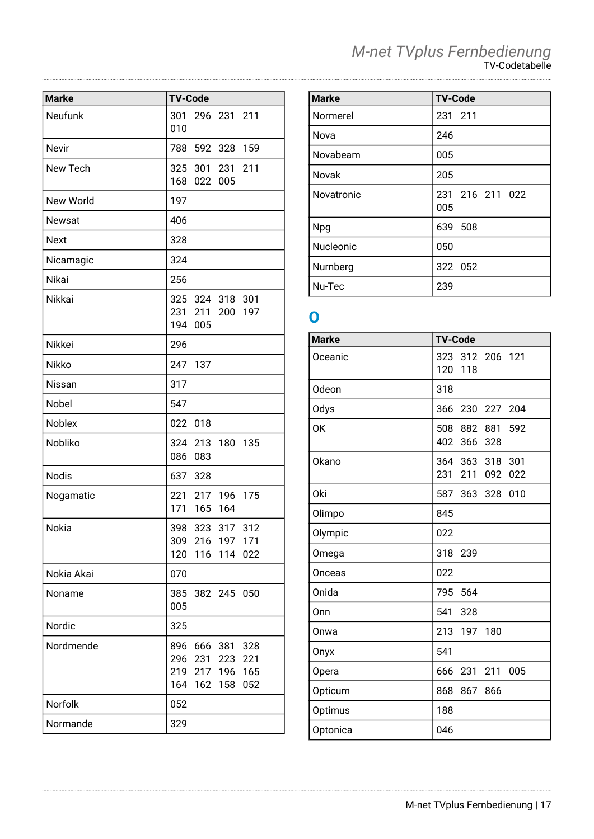|  | M-net TVplus Fernbedienung |
|--|----------------------------|
|  | TV-Codetabelle             |

| <b>Marke</b>  | <b>TV-Code</b>                                                                                      |
|---------------|-----------------------------------------------------------------------------------------------------|
| Neufunk       | 301<br>296 231 211<br>010                                                                           |
| Nevir         | 788<br>592 328 159                                                                                  |
| New Tech      | 325 301 231 211<br>168 022 005                                                                      |
| New World     | 197                                                                                                 |
| <b>Newsat</b> | 406                                                                                                 |
| <b>Next</b>   | 328                                                                                                 |
| Nicamagic     | 324                                                                                                 |
| Nikai         | 256                                                                                                 |
| Nikkai        | 325 324 318 301<br>231 211 200 197<br>194 005                                                       |
| <b>Nikkei</b> | 296                                                                                                 |
| Nikko         | 247<br>137                                                                                          |
| Nissan        | 317                                                                                                 |
| Nobel         | 547                                                                                                 |
| Noblex        | 022 018                                                                                             |
| Nobliko       | 324 213 180 135<br>086 083                                                                          |
| <b>Nodis</b>  | 637 328                                                                                             |
| Nogamatic     | 221 217 196 175<br>171<br>165 164                                                                   |
| Nokia         | 323 317 312<br>398<br>309 216 197 171<br>120<br>116<br>114<br>022                                   |
| Nokia Akai    | 070                                                                                                 |
| Noname        | 385<br>382 245 050<br>005                                                                           |
| Nordic        | 325                                                                                                 |
| Nordmende     | 896<br>666<br>381<br>328<br>296<br>231<br>223<br>221<br>219 217 196 165<br>052<br>164<br>162<br>158 |
| Norfolk       | 052                                                                                                 |
| Normande      | 329                                                                                                 |

| <b>Marke</b>      | <b>TV-Code</b>         |
|-------------------|------------------------|
| Normerel          | 231 211                |
| Nova              | 246                    |
| Novabeam          | 005                    |
| Novak             | 205                    |
| <b>Novatronic</b> | 231 216 211 022<br>005 |
| <b>Npg</b>        | 639 508                |
| <b>Nucleonic</b>  | 050                    |
| Nurnberg          | 322 052                |
| Nu-Tec            | 239                    |

### **O**

| <b>TV-Code</b>                                    |
|---------------------------------------------------|
| 312 206 121<br>323<br>120<br>118                  |
| 318                                               |
| 366<br>230<br>227<br>204                          |
| 882<br>508<br>881<br>592<br>402<br>366<br>328     |
| 364 363<br>318<br>301<br>231<br>211<br>092<br>022 |
| 587<br>363<br>010<br>328                          |
| 845                                               |
| 022                                               |
| 318<br>239                                        |
| 022                                               |
| 795<br>564                                        |
| 541<br>328                                        |
| 213<br>180<br>197                                 |
| 541                                               |
| 666<br>231<br>211<br>005                          |
| 867<br>868<br>866                                 |
| 188                                               |
| 046                                               |
|                                                   |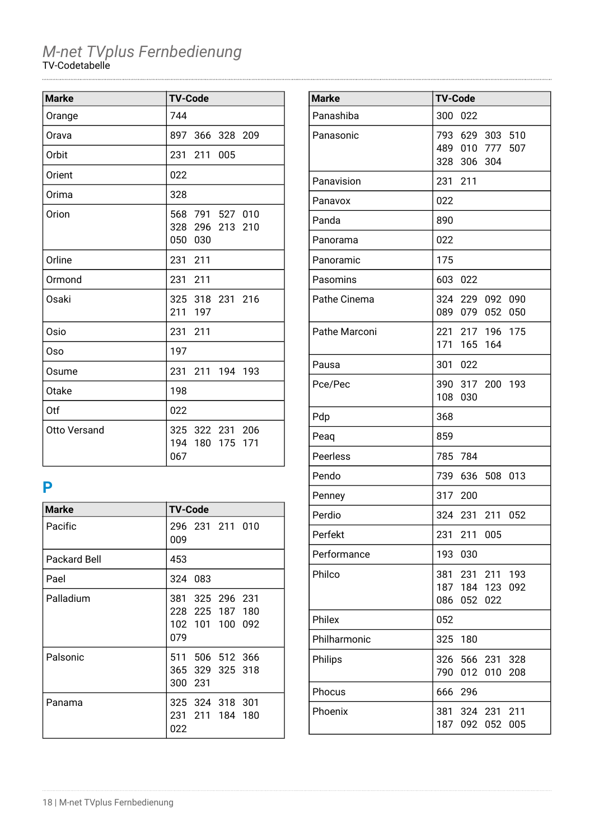| <b>Marke</b>        | <b>TV-Code</b>                                  |
|---------------------|-------------------------------------------------|
| Orange              | 744                                             |
| Orava               | 897 366 328 209                                 |
| Orbit               | 231 211<br>005                                  |
| Orient              | 022                                             |
| Orima               | 328                                             |
| Orion               | 568 791 527 010<br>328 296 213 210<br>050 030   |
| Orline              | 231 211                                         |
| Ormond              | 231 211                                         |
| Osaki               | 325 318 231 216<br>211<br>197                   |
| Osio                | 231 211                                         |
| Oso                 | 197                                             |
| Osume               | 231 211 194 193                                 |
| Otake               | 198                                             |
| Otf                 | 022                                             |
| <b>Otto Versand</b> | 325 322 231 206<br>194 180<br>175<br>171<br>067 |

### **P**

| <b>Marke</b> | <b>TV-Code</b>                                               |
|--------------|--------------------------------------------------------------|
| Pacific      | 296 231 211 010<br>009                                       |
| Packard Bell | 453                                                          |
| Pael         | 324 083                                                      |
| Palladium    | 381 325 296 231<br>228 225 187 180<br>102 101 100 092<br>079 |
| Palsonic     | 511 506 512 366<br>365 329 325 318<br>300 231                |
| Panama       | 325 324 318 301<br>231<br>211 184 180<br>022                 |

| <b>Marke</b>  | <b>TV-Code</b> |                            |                            |            |
|---------------|----------------|----------------------------|----------------------------|------------|
| Panashiba     | 300            | 022                        |                            |            |
| Panasonic     |                | 489 010 777<br>328 306 304 | 793 629 303 510            | 507        |
| Panavision    | 231 211        |                            |                            |            |
| Panavox       | 022            |                            |                            |            |
| Panda         | 890            |                            |                            |            |
| Panorama      | 022            |                            |                            |            |
| Panoramic     | 175            |                            |                            |            |
| Pasomins      | 603            | -022                       |                            |            |
| Pathe Cinema  |                |                            | 324 229 092<br>089 079 052 | 090<br>050 |
| Pathe Marconi |                | 171 165                    | 221 217 196 175<br>164     |            |
| Pausa         | 301            | 022                        |                            |            |
| Pce/Pec       | 108            | 030                        | 390 317 200                | 193        |
| Pdp           | 368            |                            |                            |            |
| Peaq          | 859            |                            |                            |            |
| Peerless      | 785 784        |                            |                            |            |
| Pendo         | 739            | 636                        | 508                        | 013        |
| Penney        | 317 200        |                            |                            |            |
| Perdio        | 324 231        |                            | 211                        | 052        |
| Perfekt       | 231            | 211                        | 005                        |            |
| Performance   | 193            | 030                        |                            |            |
| Philco        | 381<br>086     | 231<br>052                 | 211<br>187 184 123<br>022  | 193<br>092 |
| Philex        | 052            |                            |                            |            |
| Philharmonic  | 325            | 180                        |                            |            |
| Philips       | 326<br>790     | 012                        | 566 231<br>010             | 328<br>208 |
| Phocus        | 666            | 296                        |                            |            |
| Phoenix       | 381<br>187     | 092                        | 324 231<br>052             | 211<br>005 |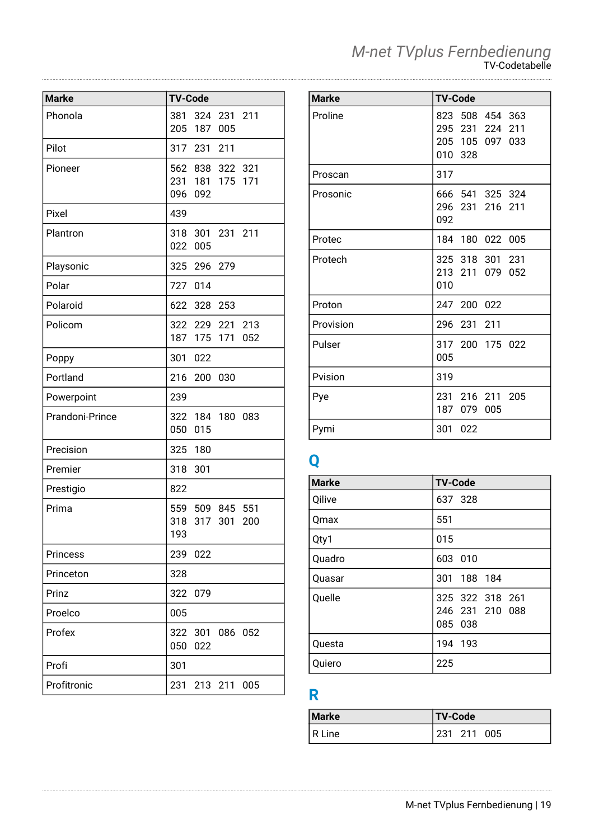|  | M-net TVplus Fernbedienung |
|--|----------------------------|
|  | TV-Codetabelle             |

| <b>Marke</b>    | <b>TV-Code</b> |                               |                |            |
|-----------------|----------------|-------------------------------|----------------|------------|
| Phonola         | 381<br>205     | 187                           | 324 231<br>005 | 211        |
| Pilot           |                | 317 231                       | 211            |            |
| Pioneer         | 096            | 562 838<br>231 181 175<br>092 | 322            | 321<br>171 |
| Pixel           | 439            |                               |                |            |
| Plantron        | 022            | 318 301<br>005                | 231 211        |            |
| Playsonic       | 325            | 296                           | 279            |            |
| Polar           | 727            | 014                           |                |            |
| Polaroid        | 622            | 328                           | 253            |            |
| Policom         | 187            | 322 229<br>175                | 221<br>171     | 213<br>052 |
| Poppy           | 301            | 022                           |                |            |
| Portland        | 216            | 200                           | 030            |            |
| Powerpoint      | 239            |                               |                |            |
| Prandoni-Prince | 050            | 322 184 180 083<br>015        |                |            |
| Precision       | 325            | 180                           |                |            |
| Premier         | 318            | 301                           |                |            |
| Prestigio       | 822            |                               |                |            |
| Prima           | 318<br>193     | 559 509 845                   | 317 301        | 551<br>200 |
| <b>Princess</b> | 239            | 022                           |                |            |
| Princeton       | 328            |                               |                |            |
| Prinz           | 322            | 079                           |                |            |
| Proelco         | 005            |                               |                |            |
| Profex          | 322<br>050     | 022                           | 301 086        | 052        |
| Profi           | 301            |                               |                |            |
| Profitronic     | 231            |                               | 213 211        | 005        |

| <b>Marke</b> | <b>TV-Code</b>                                                         |
|--------------|------------------------------------------------------------------------|
| Proline      | 823 508 454 363<br>295 231 224<br>211<br>205 105 097<br>033<br>010 328 |
| Proscan      | 317                                                                    |
| Prosonic     | 666 541 325 324<br>296 231 216 211<br>092                              |
| Protec       | 184 180 022 005                                                        |
| Protech      | 325 318 301 231<br>213 211<br>079<br>052<br>010                        |
| Proton       | 247 200 022                                                            |
| Provision    | 296<br>231 211                                                         |
| Pulser       | 317 200 175 022<br>005                                                 |
| Pvision      | 319                                                                    |
| Pye          | 231 216 211 205<br>187<br>079<br>005                                   |
| Pymi         | 301<br>022                                                             |

# **Q**

| <b>Marke</b> | <b>TV-Code</b>                                |
|--------------|-----------------------------------------------|
| Qilive       | 637 328                                       |
| Qmax         | 551                                           |
| Qty1         | 015                                           |
| Quadro       | 603 010                                       |
| Quasar       | 188 184<br>301                                |
| Quelle       | 325 322 318 261<br>246 231 210 088<br>085 038 |
| Questa       | 194<br>193                                    |
| Quiero       | 225                                           |

# **R**

| <b>Marke</b> | <b>TV-Code</b> |
|--------------|----------------|
| ' R Line     | 231 211 005    |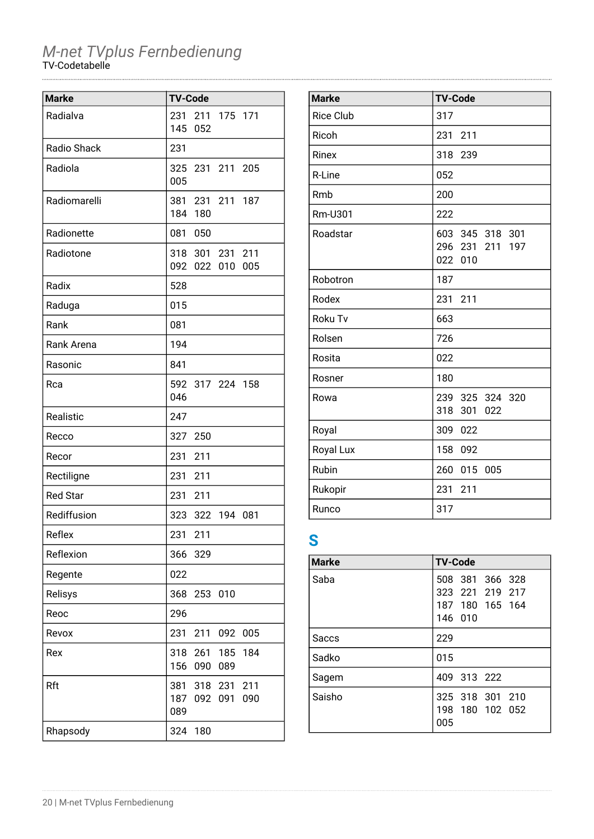| <b>Marke</b>    | <b>TV-Code</b>    |                        |            |            |
|-----------------|-------------------|------------------------|------------|------------|
| Radialva        | 231<br>145        | 211<br>052             | 175 171    |            |
| Radio Shack     | 231               |                        |            |            |
| Radiola         | 325<br>005        | 231 211 205            |            |            |
| Radiomarelli    | 381<br>184        | 180                    | 231 211    | 187        |
| Radionette      | 081               | 050                    |            |            |
| Radiotone       | 092               | 318 301 231 211<br>022 | 010        | 005        |
| Radix           | 528               |                        |            |            |
| Raduga          | 015               |                        |            |            |
| Rank            | 081               |                        |            |            |
| Rank Arena      | 194               |                        |            |            |
| Rasonic         | 841               |                        |            |            |
| Rca             | 046               | 592 317 224 158        |            |            |
| Realistic       | 247               |                        |            |            |
| Recco           | 327               | 250                    |            |            |
| Recor           | 231               | 211                    |            |            |
| Rectiligne      | 231               | 211                    |            |            |
| <b>Red Star</b> | 231               | 211                    |            |            |
| Rediffusion     | 323               | 322                    | 194        | 081        |
| Reflex          | 231               | 211                    |            |            |
| Reflexion       | 366               | 329                    |            |            |
| Regente         | 022               |                        |            |            |
| Relisys         | 368               | 253                    | 010        |            |
| Reoc            | 296               |                        |            |            |
| Revox           | 231               | 211                    | 092        | 005        |
| Rex             | 318<br>156        | 261<br>090             | 185<br>089 | 184        |
| Rft             | 381<br>187<br>089 | 318<br>092             | 231<br>091 | 211<br>090 |
| Rhapsody        | 324               | 180                    |            |            |

| <b>Marke</b>     | <b>TV-Code</b>                                      |
|------------------|-----------------------------------------------------|
| <b>Rice Club</b> | 317                                                 |
| Ricoh            | 211<br>231                                          |
| Rinex            | 318<br>239                                          |
| R-Line           | 052                                                 |
| Rmb              | 200                                                 |
| Rm-U301          | 222                                                 |
| Roadstar         | 603 345 318 301<br>296 231<br>211<br>197<br>022 010 |
| Robotron         | 187                                                 |
| Rodex            | 211<br>231                                          |
| Roku Tv          | 663                                                 |
| Rolsen           | 726                                                 |
| Rosita           | 022                                                 |
| Rosner           | 180                                                 |
| Rowa             | 239 325 324 320<br>318 301<br>022                   |
| Royal            | 309 022                                             |
| Royal Lux        | 158<br>092                                          |
| Rubin            | 260 015<br>005                                      |
| Rukopir          | 231<br>211                                          |
| Runco            | 317                                                 |

### **S**

| <b>Marke</b> | <b>TV-Code</b>  |
|--------------|-----------------|
| Saba         | 508 381 366 328 |
|              | 323 221 219 217 |
|              | 187 180 165 164 |
|              | 146 010         |
| <b>Saccs</b> | 229             |
| Sadko        | 015             |
| Sagem        | 409 313 222     |
| Saisho       | 325 318 301 210 |
|              | 198 180 102 052 |
|              | 005             |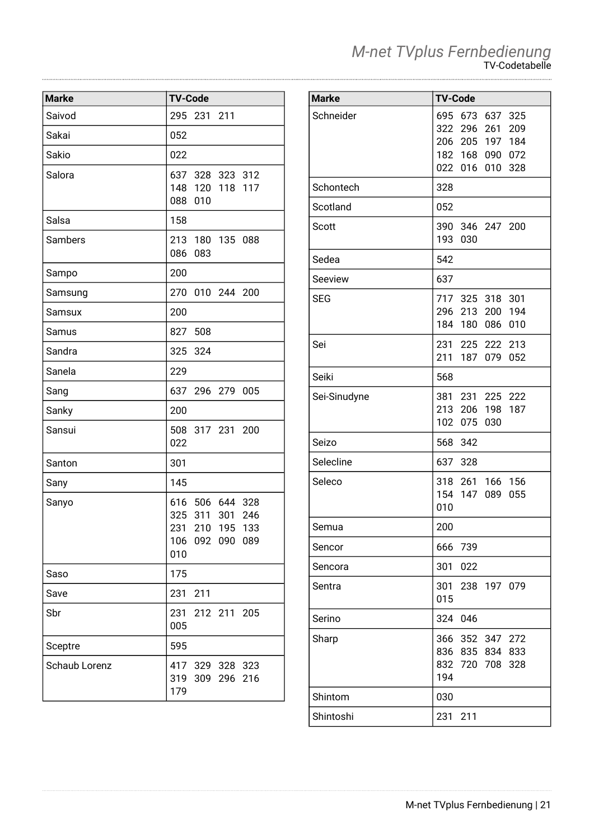| <b>Marke</b>  | <b>TV-Code</b>                                                                           |
|---------------|------------------------------------------------------------------------------------------|
| Saivod        | 295 231 211                                                                              |
| Sakai         | 052                                                                                      |
| Sakio         | 022                                                                                      |
| Salora        | 637 328 323 312<br>148<br>120<br>118<br>117<br>088<br>010                                |
| Salsa         | 158                                                                                      |
| Sambers       | 213 180 135 088<br>086<br>083                                                            |
| Sampo         | 200                                                                                      |
| Samsung       | 270 010 244 200                                                                          |
| Samsux        | 200                                                                                      |
| Samus         | 508<br>827                                                                               |
| Sandra        | 325<br>324                                                                               |
| Sanela        | 229                                                                                      |
| Sang          | 637<br>296 279<br>005                                                                    |
| Sanky         | 200                                                                                      |
| Sansui        | 508<br>317 231<br>200<br>022                                                             |
| Santon        | 301                                                                                      |
| Sany          | 145                                                                                      |
| Sanyo         | 616 506 644 328<br>325<br>311<br>301<br>246<br>231 210 195 133<br>106 092 090 089<br>010 |
| Saso          | 175                                                                                      |
| Save          | 231<br>211                                                                               |
| Sbr           | 231 212 211 205<br>005                                                                   |
| Sceptre       | 595                                                                                      |
| Schaub Lorenz | 417 329 328 323<br>319<br>309<br>296<br>216<br>179                                       |

| <b>Marke</b> | <b>TV-Code</b>                                                                                                         |
|--------------|------------------------------------------------------------------------------------------------------------------------|
| Schneider    | 673<br>695<br>637 325<br>322 296<br>261<br>209<br>206 205<br>197<br>184<br>182 168<br>090 072<br>022 016<br>010<br>328 |
| Schontech    | 328                                                                                                                    |
| Scotland     | 052                                                                                                                    |
| Scott        | 390 346 247 200<br>193<br>030                                                                                          |
| Sedea        | 542                                                                                                                    |
| Seeview      | 637                                                                                                                    |
| SEG          | 717 325 318 301<br>296 213 200 194<br>184 180<br>086<br>010                                                            |
| Sei          | 231<br>225 222 213<br>211<br>187<br>052<br>079                                                                         |
| Seiki        | 568                                                                                                                    |
| Sei-Sinudyne | 381 231 225 222<br>213 206 198<br>187<br>102<br>075<br>030                                                             |
| Seizo        | 342<br>568                                                                                                             |
| Selecline    | 637<br>328                                                                                                             |
| Seleco       | 318 261<br>166 156<br>154<br>147<br>055<br>089<br>010                                                                  |
| Semua        | 200                                                                                                                    |
| Sencor       | 666 739                                                                                                                |
| Sencora      | 301<br>022                                                                                                             |
| Sentra       | 301<br>238<br>197 079<br>015                                                                                           |
| Serino       | 046<br>324                                                                                                             |
| Sharp        | 366 352 347 272<br>836 835<br>834 833<br>832 720 708<br>328<br>194                                                     |
| Shintom      | 030                                                                                                                    |
| Shintoshi    | 231<br>211                                                                                                             |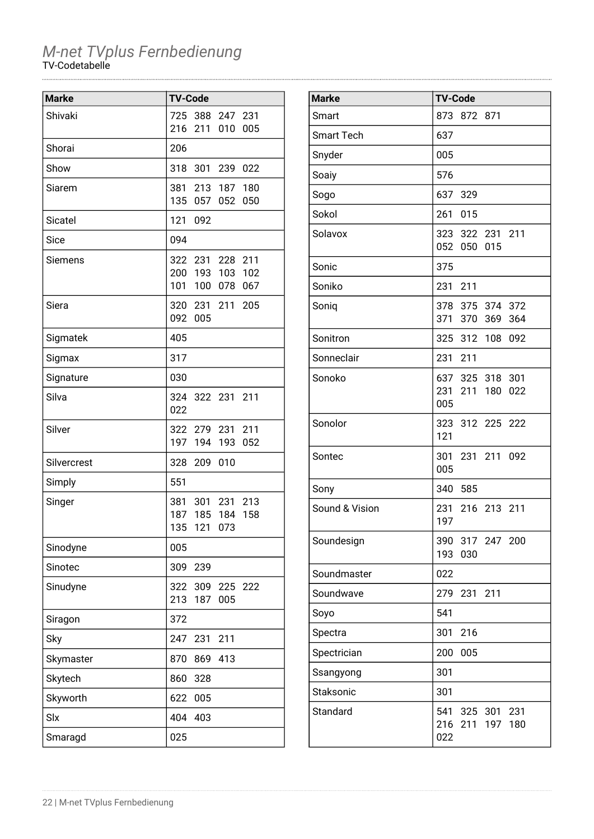| <b>Marke</b> | <b>TV-Code</b>                                       |
|--------------|------------------------------------------------------|
| Shivaki      | 388 247<br>725<br>231                                |
|              | 216<br>211<br>005<br>010                             |
| Shorai       | 206                                                  |
| Show         | 318<br>301<br>239<br>022                             |
| Siarem       | 187 180<br>381<br>213                                |
|              | 135<br>057<br>052<br>050                             |
| Sicatel      | 121<br>092                                           |
| Sice         | 094                                                  |
| Siemens      | 211<br>322 231<br>228                                |
|              | 200 193<br>103<br>102                                |
|              | 101<br>100<br>078<br>067                             |
| Siera        | 320 231<br>211<br>205<br>092<br>005                  |
|              |                                                      |
| Sigmatek     | 405                                                  |
| Sigmax       | 317                                                  |
| Signature    | 030                                                  |
| Silva        | 324 322 231<br>211                                   |
|              | 022                                                  |
| Silver       | 322 279 231 211<br>197<br>194<br>193<br>052          |
| Silvercrest  | 209<br>010<br>328                                    |
|              | 551                                                  |
| Simply       |                                                      |
| Singer       | 381<br>301<br>231<br>213<br>187<br>185<br>184<br>158 |
|              | 135<br>073<br>121                                    |
| Sinodyne     | 005                                                  |
| Sinotec      | 309<br>239                                           |
| Sinudyne     | 322<br>309<br>225<br>222                             |
|              | 213<br>187<br>005                                    |
| Siragon      | 372                                                  |
| Sky          | 247<br>231<br>211                                    |
| Skymaster    | 870<br>869<br>413                                    |
| Skytech      | 860<br>328                                           |
| Skyworth     | 005<br>622                                           |
| Slx          | 404<br>403                                           |
| Smaragd      | 025                                                  |

| <b>Marke</b>      | <b>TV-Code</b>                                        |
|-------------------|-------------------------------------------------------|
| Smart             | 873 872 871                                           |
| <b>Smart Tech</b> | 637                                                   |
| Snyder            | 005                                                   |
| Soaiy             | 576                                                   |
| Sogo              | 637 329                                               |
| Sokol             | 261<br>015                                            |
| Solavox           | 323 322 231 211<br>052 050 015                        |
| Sonic             | 375                                                   |
| Soniko            | 231<br>211                                            |
| Soniq             | 378 375 374 372<br>371 370 369<br>364                 |
| Sonitron          | 325 312 108<br>092                                    |
| Sonneclair        | 231 211                                               |
| Sonoko            | 637 325 318<br>301<br>231 211 180<br>022<br>005       |
| Sonolor           | 323 312 225 222<br>121                                |
| Sontec            | 301 231 211 092<br>005                                |
| Sony              | 340 585                                               |
| Sound & Vision    | 231<br>216 213 211<br>197                             |
| Soundesign        | 390 317 247 200<br>193<br>030                         |
| Soundmaster       | 022                                                   |
| Soundwave         | 279<br>231 211                                        |
| Soyo              | 541                                                   |
| Spectra           | 216<br>301                                            |
| Spectrician       | 200<br>005                                            |
| Ssangyong         | 301                                                   |
| Staksonic         | 301                                                   |
| Standard          | 541<br>325 301 231<br>216<br>211<br>197<br>180<br>022 |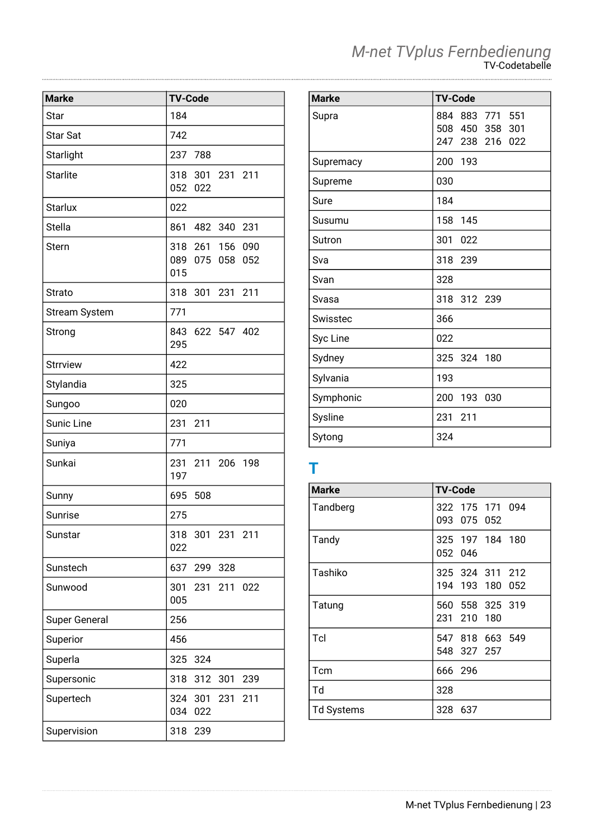| <b>Marke</b>         | <b>TV-Code</b>                                     |
|----------------------|----------------------------------------------------|
| Star                 | 184                                                |
| <b>Star Sat</b>      | 742                                                |
| Starlight            | 237 788                                            |
| <b>Starlite</b>      | 318 301 231 211<br>052 022                         |
| <b>Starlux</b>       | 022                                                |
| <b>Stella</b>        | 861 482 340 231                                    |
| <b>Stern</b>         | 318 261 156<br>090<br>089 075<br>058<br>052<br>015 |
| <b>Strato</b>        | 318 301 231<br>211                                 |
| <b>Stream System</b> | 771                                                |
| Strong               | 843 622 547 402<br>295                             |
| <b>Strrview</b>      | 422                                                |
| Stylandia            | 325                                                |
| Sungoo               | 020                                                |
| Sunic Line           | 231<br>211                                         |
| Suniya               | 771                                                |
| Sunkai               | 231 211 206 198<br>197                             |
| Sunny                | 695<br>508                                         |
| Sunrise              | 275                                                |
| Sunstar              | 318 301 231 211<br>022                             |
| Sunstech             | 637 299 328                                        |
| Sunwood              | 301<br>231 211 022<br>005                          |
| <b>Super General</b> | 256                                                |
| Superior             | 456                                                |
| Superla              | 325<br>324                                         |
| Supersonic           | 318<br>312<br>301<br>239                           |
| Supertech            | 324 301 231<br>211<br>034<br>022                   |
| Supervision          | 318<br>239                                         |

| <b>Marke</b> | <b>TV-Code</b>  |
|--------------|-----------------|
| Supra        | 884 883 771 551 |
|              | 508 450 358 301 |
|              | 247 238 216 022 |
| Supremacy    | 200 193         |
| Supreme      | 030             |
| Sure         | 184             |
| Susumu       | 158 145         |

| supremacy | ZUU 193           |
|-----------|-------------------|
| Supreme   | 030               |
| Sure      | 184               |
| Susumu    | 158<br>145        |
| Sutron    | 301<br>022        |
| Sva       | 318<br>239        |
| Svan      | 328               |
| Svasa     | 318 312 239       |
| Swisstec  | 366               |
| Syc Line  | 022               |
| Sydney    | 325 324 180       |
| Sylvania  | 193               |
| Symphonic | 200<br>193<br>030 |
| Sysline   | 231<br>211        |
| Sytong    | 324               |

### **T**

| <b>Marke</b>      | <b>TV-Code</b>                     |
|-------------------|------------------------------------|
| Tandberg          | 322 175 171 094<br>093 075 052     |
| Tandy             | 325 197 184 180<br>052 046         |
| Tashiko           | 325 324 311 212<br>194 193 180 052 |
| Tatung            | 560 558 325 319<br>231 210 180     |
| Tcl               | 547 818 663 549<br>548 327 257     |
| Tcm               | 666 296                            |
| Td                | 328                                |
| <b>Td Systems</b> | 328 637                            |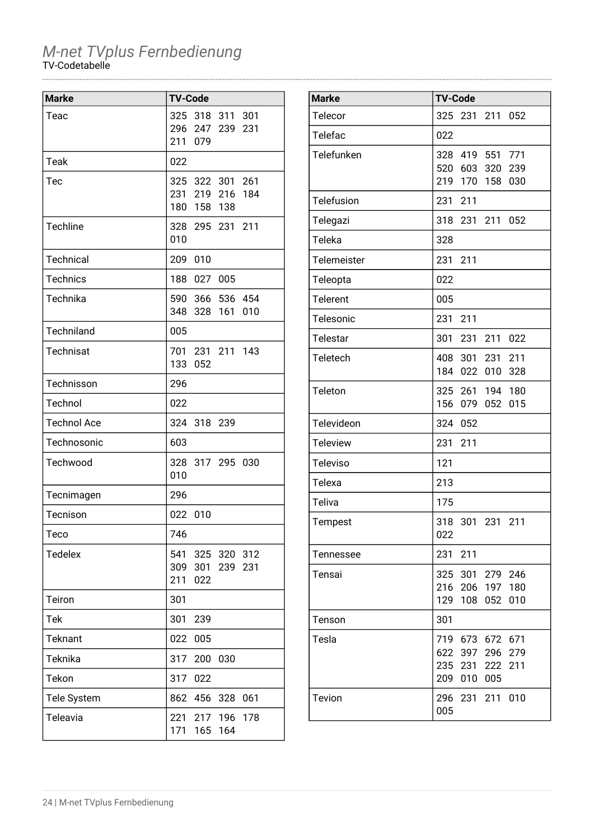| <b>Marke</b>       | <b>TV-Code</b>                                |                    |     |
|--------------------|-----------------------------------------------|--------------------|-----|
| Teac               | 325<br>296 247 239<br>211<br>079              | 318 311 301        | 231 |
| Teak               | 022                                           |                    |     |
| Tec                | 325 322 301 261<br>231 219 216<br>180 158 138 |                    | 184 |
| Techline           | 328 295 231 211<br>010                        |                    |     |
| Technical          | 209<br>010                                    |                    |     |
| <b>Technics</b>    | 188                                           | 027 005            |     |
| Technika           | 590 366 536 454<br>348<br>328                 | 161                | 010 |
| Techniland         | 005                                           |                    |     |
| <b>Technisat</b>   | 701<br>133<br>052                             | 231 211 143        |     |
| Technisson         | 296                                           |                    |     |
| Technol            | 022                                           |                    |     |
| <b>Technol Ace</b> | 324<br>318                                    | 239                |     |
| Technosonic        | 603                                           |                    |     |
| Techwood           | 328 317 295 030<br>010                        |                    |     |
| Tecnimagen         | 296                                           |                    |     |
| Tecnison           | 022<br>010                                    |                    |     |
| Teco               | 746                                           |                    |     |
| <b>Tedelex</b>     | 541<br>309<br>301<br>211<br>022               | 325 320 312<br>239 | 231 |
| Teiron             | 301                                           |                    |     |
| Tek                | 301<br>239                                    |                    |     |
| <b>Teknant</b>     | 005<br>022                                    |                    |     |
| Teknika            | 317<br>200                                    | 030                |     |
| Tekon              | 317<br>022                                    |                    |     |
| Tele System        | 862<br>456                                    | 328                | 061 |
| Teleavia           | 221<br>171<br>165                             | 217 196<br>164     | 178 |

| <b>Marke</b>    | <b>TV-Code</b>                                                                            |
|-----------------|-------------------------------------------------------------------------------------------|
| Telecor         | 325<br>231<br>211<br>052                                                                  |
| Telefac         | 022                                                                                       |
| Telefunken      | 328<br>419 551 771<br>520<br>603<br>320<br>239<br>219<br>170<br>158<br>030                |
| Telefusion      | 231<br>211                                                                                |
| Telegazi        | 318<br>231 211<br>052                                                                     |
| Teleka          | 328                                                                                       |
| Telemeister     | 231<br>211                                                                                |
| Teleopta        | 022                                                                                       |
| <b>Telerent</b> | 005                                                                                       |
| Telesonic       | 231<br>211                                                                                |
| Telestar        | 301<br>231<br>211<br>022                                                                  |
| <b>Teletech</b> | 408 301<br>231 211<br>184<br>022<br>010<br>328                                            |
| <b>Teleton</b>  | 325 261 194<br>180<br>156<br>052<br>015<br>079                                            |
| Televideon      | 324<br>052                                                                                |
| <b>Teleview</b> | 231<br>211                                                                                |
| <b>Televiso</b> | 121                                                                                       |
| Telexa          | 213                                                                                       |
| Teliva          | 175                                                                                       |
| Tempest         | 318<br>301<br>231<br>211<br>022                                                           |
| Tennessee       | 231<br>211                                                                                |
| Tensai          | 325 301<br>279<br>246<br>216 206 197<br>180<br>129<br>108<br>010<br>052                   |
| Tenson          | 301                                                                                       |
| Tesla           | 719 673<br>672<br>671<br>397 296<br>279<br>622<br>235 231 222<br>211<br>005<br>209<br>010 |
| Tevion          | 296<br>231 211<br>010<br>005                                                              |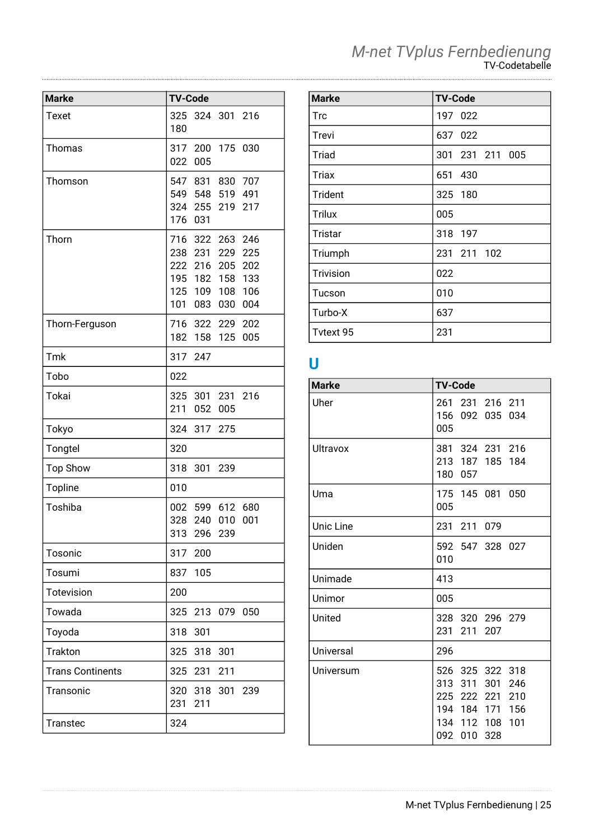| <b>Marke</b>            | <b>TV-Code</b>                                                                                                                                                    |
|-------------------------|-------------------------------------------------------------------------------------------------------------------------------------------------------------------|
| Texet                   | 325<br>324 301<br>216<br>180                                                                                                                                      |
| Thomas                  | 317<br>200<br>175<br>030<br>022<br>005                                                                                                                            |
| Thomson                 | 547 831<br>830<br>707<br>549 548<br>519 491<br>324 255<br>219<br>217<br>176<br>031                                                                                |
| Thorn                   | 716<br>322<br>263 246<br>231<br>229<br>238<br>225<br>216<br>222<br>205<br>202<br>195<br>158<br>133<br>182<br>106<br>125<br>109<br>108<br>101<br>004<br>083<br>030 |
| Thorn-Ferguson          | 716 322 229<br>202<br>182<br>158<br>005<br>125                                                                                                                    |
| Tmk                     | 317<br>247                                                                                                                                                        |
| Tobo                    | 022                                                                                                                                                               |
| Tokai                   | 325<br>301 231<br>216<br>211<br>052<br>005                                                                                                                        |
| Tokyo                   | 324<br>317<br>275                                                                                                                                                 |
| Tongtel                 | 320                                                                                                                                                               |
| <b>Top Show</b>         | 318<br>301<br>239                                                                                                                                                 |
| <b>Topline</b>          | 010                                                                                                                                                               |
| Toshiba                 | 002 599<br>612<br>680<br>328<br>240<br>010<br>001<br>313<br>296<br>239                                                                                            |
| Tosonic                 | 317 200                                                                                                                                                           |
| Tosumi                  | 837<br>105                                                                                                                                                        |
| Totevision              | 200                                                                                                                                                               |
| Towada                  | 325<br>213<br>079<br>050                                                                                                                                          |
| Toyoda                  | 318<br>301                                                                                                                                                        |
| <b>Trakton</b>          | 325<br>318<br>301                                                                                                                                                 |
| <b>Trans Continents</b> | 325 231<br>211                                                                                                                                                    |
| Transonic               | 320<br>318<br>301<br>239<br>231<br>211                                                                                                                            |
| <b>Transtec</b>         | 324                                                                                                                                                               |

| <b>Marke</b>     | <b>TV-Code</b>  |
|------------------|-----------------|
| <b>Trc</b>       | 197 022         |
| Trevi            | 637 022         |
| Triad            | 301 231 211 005 |
| Triax            | 651<br>430      |
| Trident          | 325 180         |
| <b>Trilux</b>    | 005             |
| Tristar          | 318<br>-197     |
| Triumph          | 231 211 102     |
| <b>Trivision</b> | 022             |
| Tucson           | 010             |
| Turbo-X          | 637             |
| Tytext 95        | 231             |

### **U**

| <b>Marke</b> | <b>TV-Code</b>                                                                                                            |
|--------------|---------------------------------------------------------------------------------------------------------------------------|
| Uher         | 261 231 216 211<br>156 092 035<br>034<br>005                                                                              |
| Ultravox     | 381 324 231 216<br>213 187 185 184<br>180 057                                                                             |
| Uma          | 175 145 081 050<br>005                                                                                                    |
| Unic Line    | 231<br>211<br>079                                                                                                         |
| Uniden       | 592 547 328 027<br>010                                                                                                    |
| Unimade      | 413                                                                                                                       |
| Unimor       | 005                                                                                                                       |
| United       | 328 320 296 279<br>231<br>211<br>207                                                                                      |
| Universal    | 296                                                                                                                       |
| Universum    | 526 325 322 318<br>313 311<br>301<br>246<br>225 222 221<br>210<br>194 184 171 156<br>134 112 108<br>101<br>092 010<br>328 |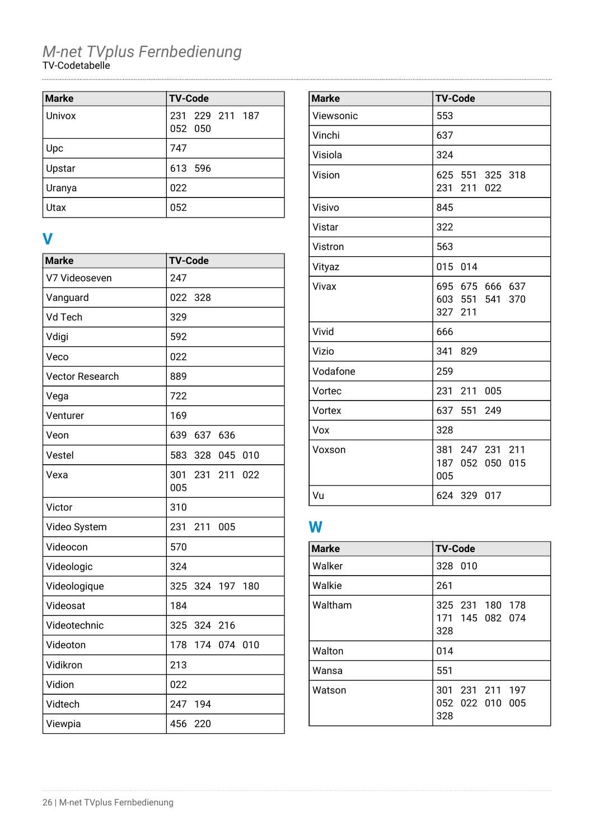| <b>Marke</b> | <b>TV-Code</b>             |
|--------------|----------------------------|
| Univox       | 231 229 211 187<br>052 050 |
| Upc          | 747                        |
| Upstar       | 613 596                    |
| Uranya       | 022                        |
| Utax         | 052                        |

### **V**

| <b>Marke</b>           | <b>TV-Code</b>                  |
|------------------------|---------------------------------|
| V7 Videoseven          | 247                             |
| Vanguard               | 022<br>328                      |
| Vd Tech                | 329                             |
| Vdigi                  | 592                             |
| Veco                   | 022                             |
| <b>Vector Research</b> | 889                             |
| Vega                   | 722                             |
| Venturer               | 169                             |
| Veon                   | 639<br>637 636                  |
| Vestel                 | 328 045<br>583<br>010           |
| Vexa                   | 301<br>231<br>211<br>022<br>005 |
| Victor                 | 310                             |
| Video System           | 231<br>211<br>005               |
| Videocon               | 570                             |
| Videologic             | 324                             |
| Videologique           | 325<br>324 197<br>180           |
| Videosat               | 184                             |
| Videotechnic           | 325<br>324 216                  |
| Videoton               | 178<br>174 074<br>010           |
| Vidikron               | 213                             |
| Vidion                 | 022                             |
| Vidtech                | 247<br>194                      |
| Viewpia                | 456<br>220                      |

| <b>Marke</b> | <b>TV-Code</b>                                |
|--------------|-----------------------------------------------|
| Viewsonic    | 553                                           |
| Vinchi       | 637                                           |
| Visiola      | 324                                           |
| Vision       | 625 551 325 318<br>231 211 022                |
| Visivo       | 845                                           |
| Vistar       | 322                                           |
| Vistron      | 563                                           |
| Vityaz       | 015 014                                       |
| Vivax        | 695 675 666 637<br>603 551 541 370<br>327 211 |
| Vivid        | 666                                           |
| Vizio        | 341<br>829                                    |
| Vodafone     | 259                                           |
| Vortec       | 231 211 005                                   |
| Vortex       | 637 551 249                                   |
| Vox          | 328                                           |
| Voxson       | 381 247 231 211<br>187 052 050 015<br>005     |
| Vu           | 624 329 017                                   |

### **W**

| <b>Marke</b> | <b>TV-Code</b>                            |
|--------------|-------------------------------------------|
| Walker       | 328 010                                   |
| Walkie       | 261                                       |
| Waltham      | 325 231 180 178<br>171 145 082 074<br>328 |
| Walton       | 014                                       |
| Wansa        | 551                                       |
| Watson       | 301 231 211 197<br>052 022 010 005<br>328 |